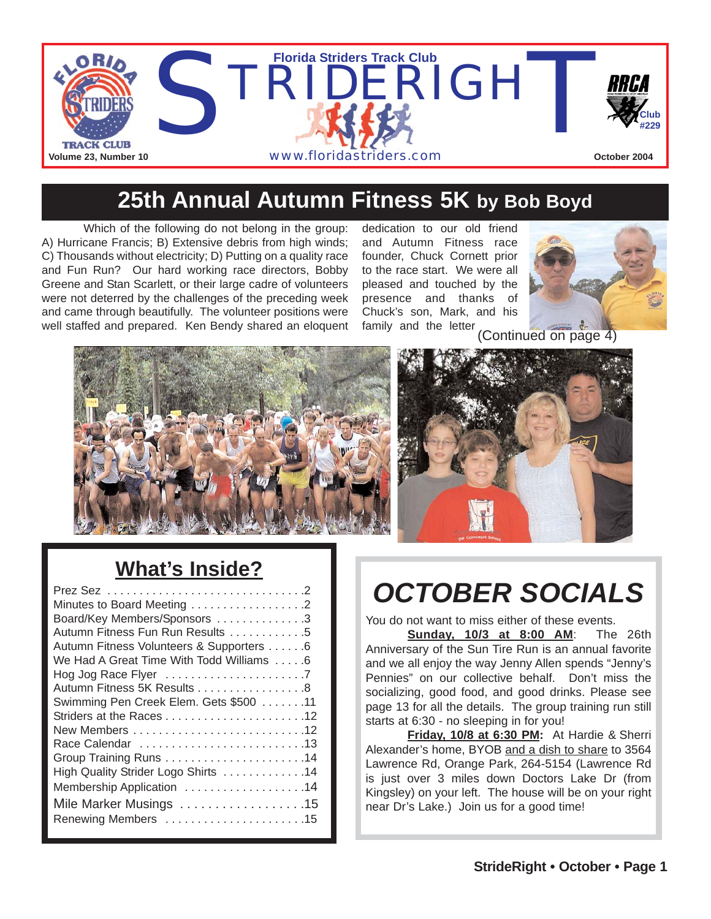

### **25th Annual Autumn Fitness 5K by Bob Boyd**

Which of the following do not belong in the group: A) Hurricane Francis; B) Extensive debris from high winds; C) Thousands without electricity; D) Putting on a quality race and Fun Run? Our hard working race directors, Bobby Greene and Stan Scarlett, or their large cadre of volunteers were not deterred by the challenges of the preceding week and came through beautifully. The volunteer positions were well staffed and prepared. Ken Bendy shared an eloquent

dedication to our old friend and Autumn Fitness race founder, Chuck Cornett prior to the race start. We were all pleased and touched by the presence and thanks of Chuck's son, Mark, and his family and the letter



(Continued on page 4)





#### **What's Inside?**

| Minutes to Board Meeting 2               |
|------------------------------------------|
| Board/Key Members/Sponsors 3             |
| Autumn Fitness Fun Run Results 5         |
| Autumn Fitness Volunteers & Supporters 6 |
| We Had A Great Time With Todd Williams 6 |
|                                          |
| Autumn Fitness 5K Results 8              |
| Swimming Pen Creek Elem. Gets \$500 11   |
|                                          |
|                                          |
|                                          |
|                                          |
| High Quality Strider Logo Shirts 14      |
| Membership Application 14                |
| Mile Marker Musings 15                   |
| Renewing Members 15                      |
|                                          |

# *OCTOBER SOCIALS*

You do not want to miss either of these events.

**Sunday, 10/3 at 8:00 AM**: The 26th Anniversary of the Sun Tire Run is an annual favorite and we all enjoy the way Jenny Allen spends "Jenny's Pennies" on our collective behalf. Don't miss the socializing, good food, and good drinks. Please see page 13 for all the details. The group training run still starts at 6:30 - no sleeping in for you!

**Friday, 10/8 at 6:30 PM:** At Hardie & Sherri Alexander's home, BYOB and a dish to share to 3564 Lawrence Rd, Orange Park, 264-5154 (Lawrence Rd is just over 3 miles down Doctors Lake Dr (from Kingsley) on your left. The house will be on your right near Dr's Lake.) Join us for a good time!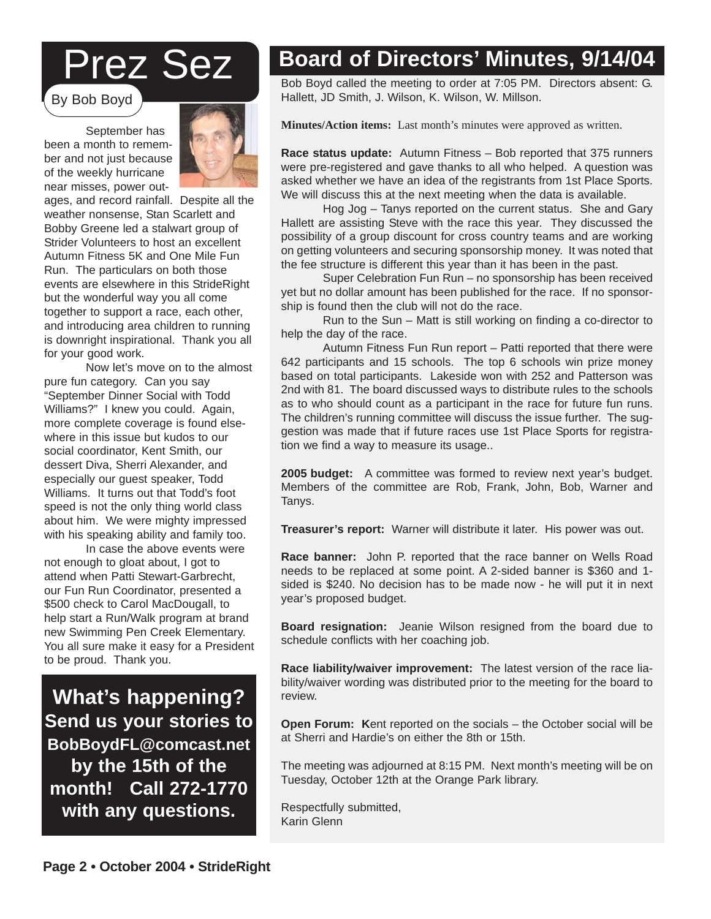# Prez Sez

By Bob Boyd

September has been a month to remember and not just because of the weekly hurricane near misses, power out-



ages, and record rainfall. Despite all the weather nonsense, Stan Scarlett and Bobby Greene led a stalwart group of Strider Volunteers to host an excellent Autumn Fitness 5K and One Mile Fun Run. The particulars on both those events are elsewhere in this StrideRight but the wonderful way you all come together to support a race, each other, and introducing area children to running is downright inspirational. Thank you all for your good work.

Now let's move on to the almost pure fun category. Can you say "September Dinner Social with Todd Williams?" I knew you could. Again, more complete coverage is found elsewhere in this issue but kudos to our social coordinator, Kent Smith, our dessert Diva, Sherri Alexander, and especially our guest speaker, Todd Williams. It turns out that Todd's foot speed is not the only thing world class about him. We were mighty impressed with his speaking ability and family too.

In case the above events were not enough to gloat about, I got to attend when Patti Stewart-Garbrecht, our Fun Run Coordinator, presented a \$500 check to Carol MacDougall, to help start a Run/Walk program at brand new Swimming Pen Creek Elementary. You all sure make it easy for a President to be proud. Thank you.

**What's happening? Send us your stories to BobBoydFL@comcast.net by the 15th of the month! Call 272-1770 with any questions.**

### **Board of Directors' Minutes, 9/14/04**

Bob Boyd called the meeting to order at 7:05 PM. Directors absent: G. Hallett, JD Smith, J. Wilson, K. Wilson, W. Millson.

**Minutes/Action items:** Last month's minutes were approved as written.

**Race status update:** Autumn Fitness – Bob reported that 375 runners were pre-registered and gave thanks to all who helped. A question was asked whether we have an idea of the registrants from 1st Place Sports. We will discuss this at the next meeting when the data is available.

Hog Jog – Tanys reported on the current status. She and Gary Hallett are assisting Steve with the race this year. They discussed the possibility of a group discount for cross country teams and are working on getting volunteers and securing sponsorship money. It was noted that the fee structure is different this year than it has been in the past.

Super Celebration Fun Run – no sponsorship has been received yet but no dollar amount has been published for the race. If no sponsorship is found then the club will not do the race.

Run to the Sun – Matt is still working on finding a co-director to help the day of the race.

Autumn Fitness Fun Run report – Patti reported that there were 642 participants and 15 schools. The top 6 schools win prize money based on total participants. Lakeside won with 252 and Patterson was 2nd with 81. The board discussed ways to distribute rules to the schools as to who should count as a participant in the race for future fun runs. The children's running committee will discuss the issue further. The suggestion was made that if future races use 1st Place Sports for registration we find a way to measure its usage..

**2005 budget:** A committee was formed to review next year's budget. Members of the committee are Rob, Frank, John, Bob, Warner and Tanys.

**Treasurer's report:** Warner will distribute it later. His power was out.

**Race banner:** John P. reported that the race banner on Wells Road needs to be replaced at some point. A 2-sided banner is \$360 and 1 sided is \$240. No decision has to be made now - he will put it in next year's proposed budget.

**Strider Discounts! Board resignation:** Jeanie Wilson resigned from the board due to schedule conflicts with her coaching job. The 10 merchan-

**Race liability/waiver improvement:** The latest version of the race liability/waiver wording was distributed prior to the meeting for the board to<br>review review.

Open Forum: Kent reported on the socials – the October social will be at Sherri and Hardie's on either the 8th or 15th.

 $\mathbb{R}$  and  $\mathbb{R}$  and  $\mathbb{R}$  mile from U.S. 17) and is offering U.S. 17) and is offering the isomorphism The meeting was adjourned at 8:15 PM. Next month's meeting will be on<br>Tuesday, October 12th at the Orange Park library The standard to both for the theory. Tuesday, October 12th at the Orange Park library.

Respectfully submitted, Karin Glenn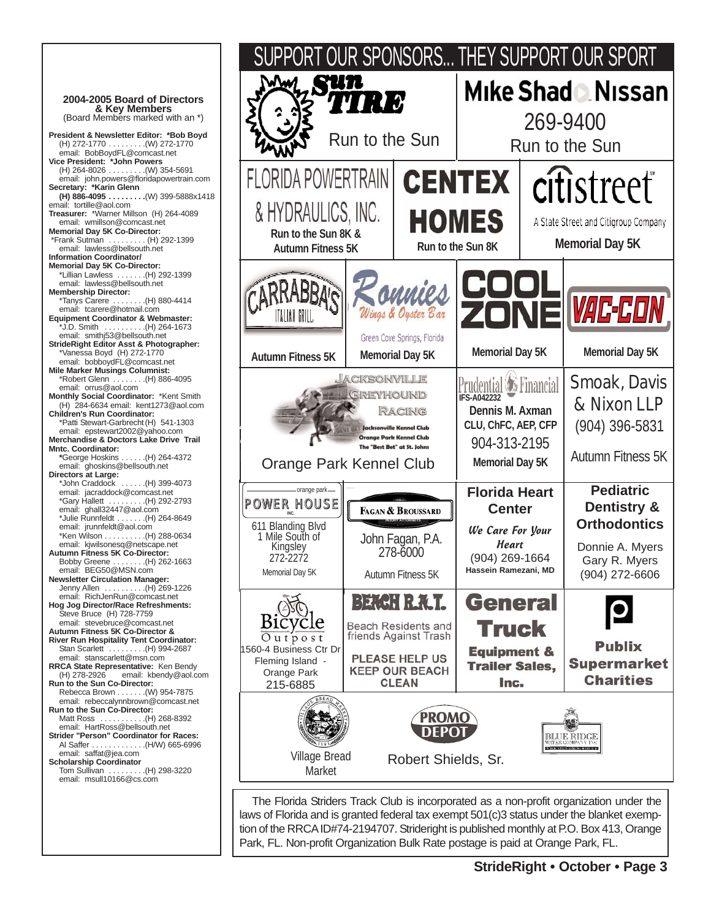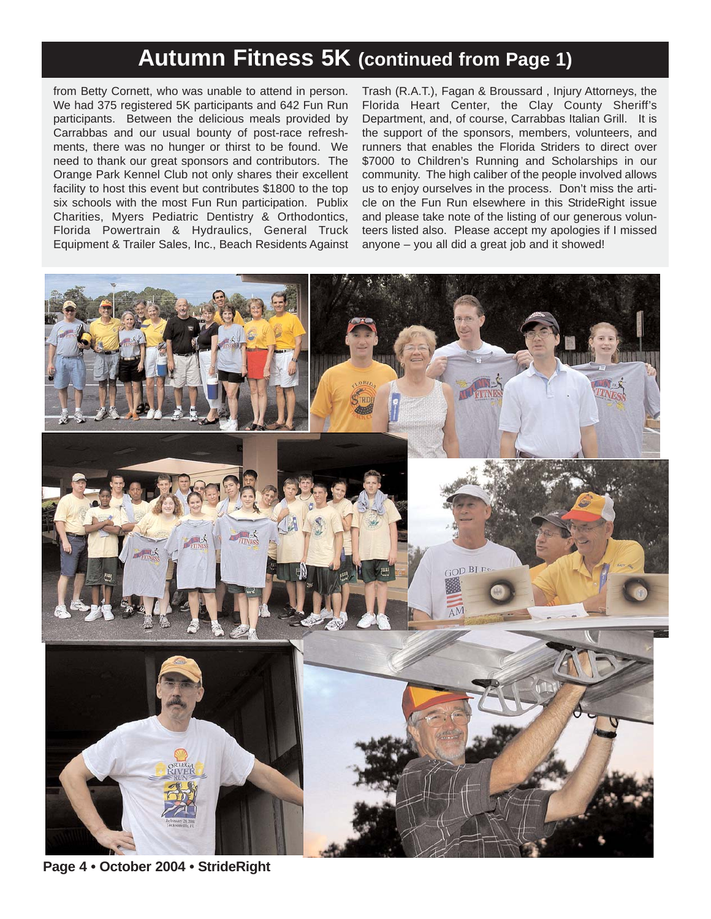#### **Autumn Fitness 5K (continued from Page 1)**

from Betty Cornett, who was unable to attend in person. We had 375 registered 5K participants and 642 Fun Run participants. Between the delicious meals provided by Carrabbas and our usual bounty of post-race refreshments, there was no hunger or thirst to be found. We need to thank our great sponsors and contributors. The Orange Park Kennel Club not only shares their excellent facility to host this event but contributes \$1800 to the top six schools with the most Fun Run participation. Publix Charities, Myers Pediatric Dentistry & Orthodontics, Florida Powertrain & Hydraulics, General Truck Equipment & Trailer Sales, Inc., Beach Residents Against

Trash (R.A.T.), Fagan & Broussard , Injury Attorneys, the Florida Heart Center, the Clay County Sheriff's Department, and, of course, Carrabbas Italian Grill. It is the support of the sponsors, members, volunteers, and runners that enables the Florida Striders to direct over \$7000 to Children's Running and Scholarships in our community. The high caliber of the people involved allows us to enjoy ourselves in the process. Don't miss the article on the Fun Run elsewhere in this StrideRight issue and please take note of the listing of our generous volunteers listed also. Please accept my apologies if I missed anyone – you all did a great job and it showed!



**Page 4 • October 2004 • StrideRight**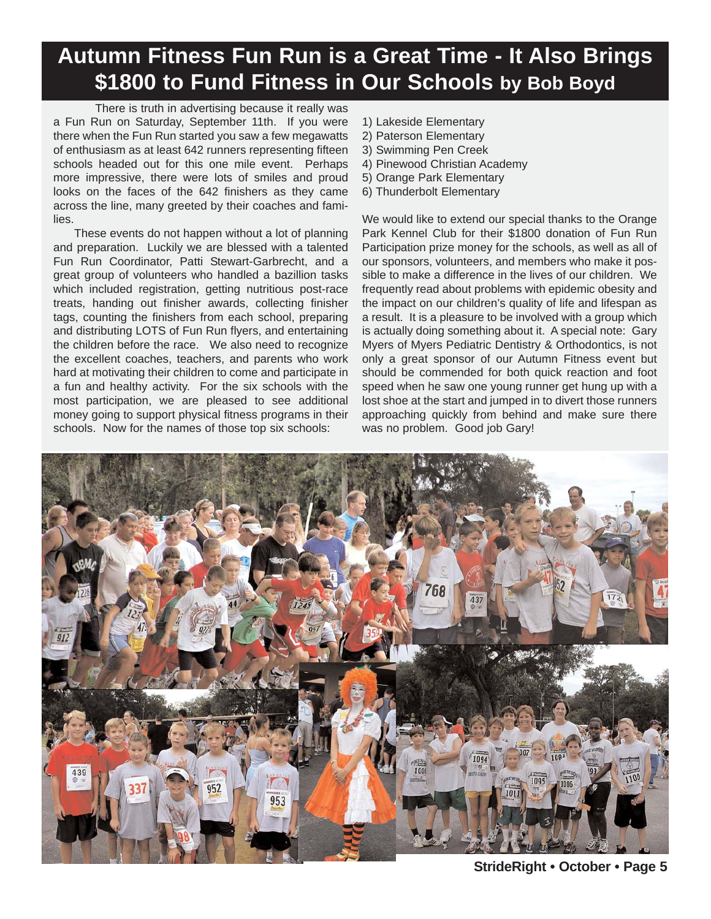### **Autumn Fitness Fun Run is a Great Time - It Also Brings \$1800 to Fund Fitness in Our Schools by Bob Boyd**

There is truth in advertising because it really was a Fun Run on Saturday, September 11th. If you were there when the Fun Run started you saw a few megawatts of enthusiasm as at least 642 runners representing fifteen schools headed out for this one mile event. Perhaps more impressive, there were lots of smiles and proud looks on the faces of the 642 finishers as they came across the line, many greeted by their coaches and families.

These events do not happen without a lot of planning and preparation. Luckily we are blessed with a talented Fun Run Coordinator, Patti Stewart-Garbrecht, and a great group of volunteers who handled a bazillion tasks which included registration, getting nutritious post-race treats, handing out finisher awards, collecting finisher tags, counting the finishers from each school, preparing and distributing LOTS of Fun Run flyers, and entertaining the children before the race. We also need to recognize the excellent coaches, teachers, and parents who work hard at motivating their children to come and participate in a fun and healthy activity. For the six schools with the most participation, we are pleased to see additional money going to support physical fitness programs in their schools. Now for the names of those top six schools:

- 1) Lakeside Elementary
- 2) Paterson Elementary
- 3) Swimming Pen Creek
- 4) Pinewood Christian Academy
- 5) Orange Park Elementary
- 6) Thunderbolt Elementary

We would like to extend our special thanks to the Orange Park Kennel Club for their \$1800 donation of Fun Run Participation prize money for the schools, as well as all of our sponsors, volunteers, and members who make it possible to make a difference in the lives of our children. We frequently read about problems with epidemic obesity and the impact on our children's quality of life and lifespan as a result. It is a pleasure to be involved with a group which is actually doing something about it. A special note: Gary Myers of Myers Pediatric Dentistry & Orthodontics, is not only a great sponsor of our Autumn Fitness event but should be commended for both quick reaction and foot speed when he saw one young runner get hung up with a lost shoe at the start and jumped in to divert those runners approaching quickly from behind and make sure there was no problem. Good job Gary!



**StrideRight • October • Page 5**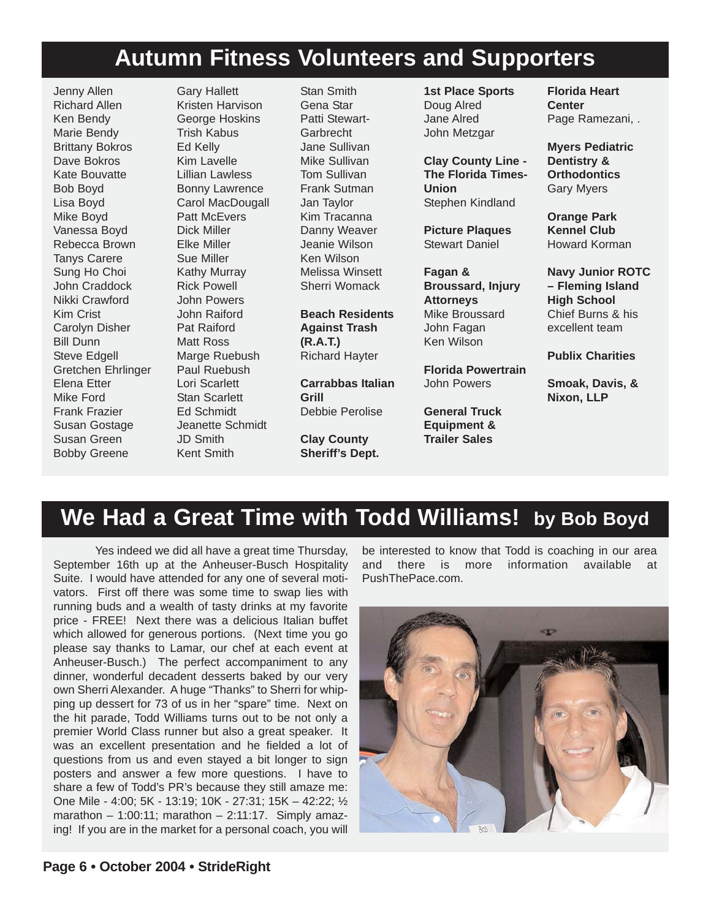#### **Autumn Fitness Volunteers and Supporters**

Jenny Allen Richard Allen Ken Bendy Marie Bendy Brittany Bokros Dave Bokros Kate Bouvatte Bob Boyd Lisa Boyd Mike Boyd Vanessa Boyd Rebecca Brown Tanys Carere Sung Ho Choi John Craddock Nikki Crawford Kim Crist Carolyn Disher Bill Dunn Steve Edgell Gretchen Ehrlinger Elena Etter Mike Ford Frank Frazier Susan Gostage Susan Green Bobby Greene

Gary Hallett Kristen Harvison George Hoskins Trish Kabus Ed Kelly Kim Lavelle Lillian Lawless Bonny Lawrence Carol MacDougall Patt McEvers Dick Miller Elke Miller Sue Miller Kathy Murray Rick Powell John Powers John Raiford Pat Raiford Matt Ross Marge Ruebush Paul Ruebush Lori Scarlett Stan Scarlett Ed Schmidt Jeanette Schmidt JD Smith Kent Smith

Stan Smith Gena Star Patti Stewart-Garbrecht Jane Sullivan Mike Sullivan Tom Sullivan Frank Sutman Jan Taylor Kim Tracanna Danny Weaver Jeanie Wilson Ken Wilson Melissa Winsett Sherri Womack

#### **Beach Residents Against Trash (R.A.T.)** Richard Hayter

**Carrabbas Italian Grill** Debbie Perolise

**Clay County Sheriff's Dept.** **1st Place Sports** Doug Alred Jane Alred John Metzgar

**Clay County Line - The Florida Times-Union** Stephen Kindland

**Picture Plaques** Stewart Daniel

**Fagan & Broussard, Injury Attorneys** Mike Broussard John Fagan Ken Wilson

**Florida Powertrain** John Powers

**General Truck Equipment & Trailer Sales**

**Florida Heart Center** Page Ramezani, .

**Myers Pediatric Dentistry & Orthodontics** Gary Myers

**Orange Park Kennel Club** Howard Korman

**Navy Junior ROTC – Fleming Island High School** Chief Burns & his excellent team

**Publix Charities**

**Smoak, Davis, & Nixon, LLP**

### **We Had a Great Time with Todd Williams! by Bob Boyd**

Yes indeed we did all have a great time Thursday, September 16th up at the Anheuser-Busch Hospitality Suite. I would have attended for any one of several motivators. First off there was some time to swap lies with running buds and a wealth of tasty drinks at my favorite price - FREE! Next there was a delicious Italian buffet which allowed for generous portions. (Next time you go please say thanks to Lamar, our chef at each event at Anheuser-Busch.) The perfect accompaniment to any dinner, wonderful decadent desserts baked by our very own Sherri Alexander. A huge "Thanks" to Sherri for whipping up dessert for 73 of us in her "spare" time. Next on the hit parade, Todd Williams turns out to be not only a premier World Class runner but also a great speaker. It was an excellent presentation and he fielded a lot of questions from us and even stayed a bit longer to sign posters and answer a few more questions. I have to share a few of Todd's PR's because they still amaze me: One Mile - 4:00; 5K - 13:19; 10K - 27:31; 15K – 42:22; ½ marathon  $-$  1:00:11; marathon  $-$  2:11:17. Simply amazing! If you are in the market for a personal coach, you will

be interested to know that Todd is coaching in our area and there is more information available at PushThePace.com.

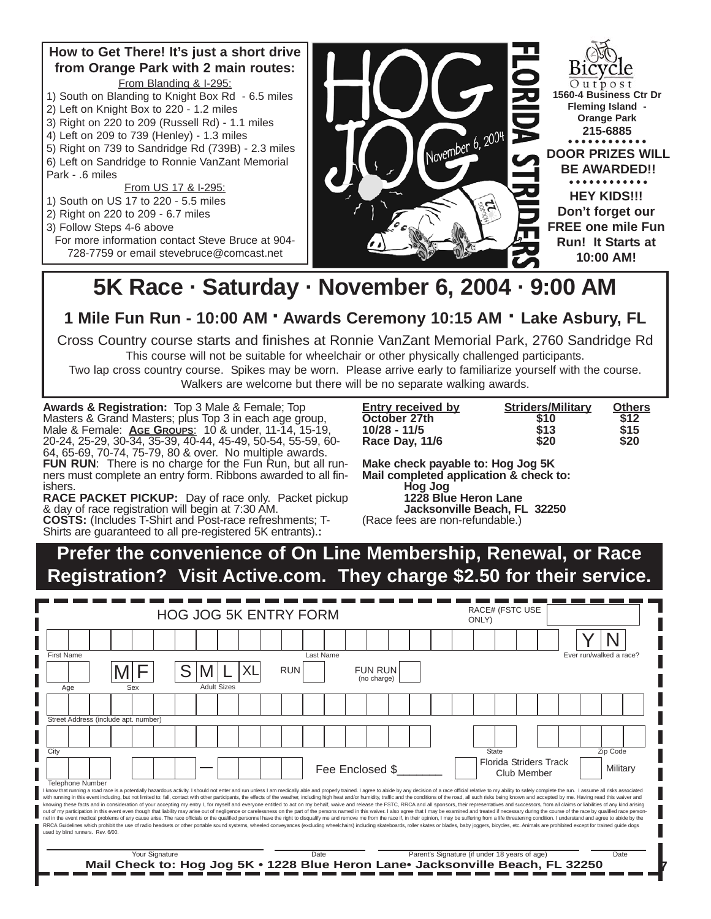#### **How to Get There! It's just a short drive from Orange Park with 2 main routes:** From Blanding & I-295:

- 1) South on Blanding to Knight Box Rd 6.5 miles
- 2) Left on Knight Box to 220 1.2 miles
- 3) Right on 220 to 209 (Russell Rd) 1.1 miles
- 4) Left on 209 to 739 (Henley) 1.3 miles
- 5) Right on 739 to Sandridge Rd (739B) 2.3 miles
- 6) Left on Sandridge to Ronnie VanZant Memorial Park - .6 miles

From US 17 & I-295:

- 1) South on US 17 to 220 5.5 miles
- 2) Right on 220 to 209 6.7 miles
- 3) Follow Steps 4-6 above
	- For more information contact Steve Bruce at 904- 728-7759 or email stevebruce@comcast.net



## **5K Race · Saturday · November 6, 2004 · 9:00 AM**

**1 Mile Fun Run - 10:00 AM · Awards Ceremony 10:15 AM · Lake Asbury, FL**

Cross Country course starts and finishes at Ronnie VanZant Memorial Park, 2760 Sandridge Rd

This course will not be suitable for wheelchair or other physically challenged participants.

Two lap cross country course. Spikes may be worn. Please arrive early to familiarize yourself with the course. Walkers are welcome but there will be no separate walking awards.

**Awards & Registration:** Top 3 Male & Female; Top Masters & Grand Masters; plus Top 3 in each age group, Male & Female: **AGE GROUPS**: 10 & under, 11-14, 15-19, 20-24, 25-29, 30-34, 35-39, 40-44, 45-49, 50-54, 55-59, 60- 64, 65-69, 70-74, 75-79, 80 & over. No multiple awards. **FUN RUN:** There is no charge for the Fun Run, but all runners must complete an entry form. Ribbons awarded to all finishers.

**RACE PACKET PICKUP:** Day of race only. Packet pickup & day of race registration will begin at 7:30 AM.

**COSTS:** (Includes T-Shirt and Post-race refreshments; T-Shirts are guaranteed to all pre-registered 5K entrants).**:** 

| <b>Entry received by</b> | <b>Striders/Military</b> | <b>Others</b> |
|--------------------------|--------------------------|---------------|
| October 27th             | \$10                     | \$12          |
| $10/28 - 11/5$           | \$13                     | \$15          |
| Race Day, 11/6           | \$20                     | \$20          |

**Make check payable to: Hog Jog 5K Mail completed application & check to: Hog Jog 1228 Blue Heron Lane Jacksonville Beach, FL 32250**

(Race fees are non-refundable.)

#### **Prefer the convenience of On Line Membership, Renewal, or Race Registration? Visit Active.com. They charge \$2.50 for their service.**

|      |                         |                                      |                                                                                |     |                |                    |  | <b>HOG JOG 5K ENTRY FORM</b> |           |                 |                               | RACE# (FSTC USE<br>ONLY) |  |  |                                               |       |             |                               |  |                                                                                                                                                                                                                                                                                                                                                                                                                                                                                                                                                                                                                                                                                                                                                                                                                                                                                                                                                                                                                                                                                                                                                                                                                                                                                                                                                                                                          |  |
|------|-------------------------|--------------------------------------|--------------------------------------------------------------------------------|-----|----------------|--------------------|--|------------------------------|-----------|-----------------|-------------------------------|--------------------------|--|--|-----------------------------------------------|-------|-------------|-------------------------------|--|----------------------------------------------------------------------------------------------------------------------------------------------------------------------------------------------------------------------------------------------------------------------------------------------------------------------------------------------------------------------------------------------------------------------------------------------------------------------------------------------------------------------------------------------------------------------------------------------------------------------------------------------------------------------------------------------------------------------------------------------------------------------------------------------------------------------------------------------------------------------------------------------------------------------------------------------------------------------------------------------------------------------------------------------------------------------------------------------------------------------------------------------------------------------------------------------------------------------------------------------------------------------------------------------------------------------------------------------------------------------------------------------------------|--|
|      |                         |                                      |                                                                                |     |                |                    |  |                              |           |                 |                               |                          |  |  |                                               |       |             |                               |  |                                                                                                                                                                                                                                                                                                                                                                                                                                                                                                                                                                                                                                                                                                                                                                                                                                                                                                                                                                                                                                                                                                                                                                                                                                                                                                                                                                                                          |  |
|      | First Name              |                                      |                                                                                |     |                |                    |  |                              | Last Name |                 |                               |                          |  |  |                                               |       |             |                               |  | Ever run/walked a race?                                                                                                                                                                                                                                                                                                                                                                                                                                                                                                                                                                                                                                                                                                                                                                                                                                                                                                                                                                                                                                                                                                                                                                                                                                                                                                                                                                                  |  |
|      |                         |                                      |                                                                                |     |                |                    |  | <b>RUN</b>                   |           |                 | <b>FUN RUN</b><br>(no charge) |                          |  |  |                                               |       |             |                               |  |                                                                                                                                                                                                                                                                                                                                                                                                                                                                                                                                                                                                                                                                                                                                                                                                                                                                                                                                                                                                                                                                                                                                                                                                                                                                                                                                                                                                          |  |
|      | Age                     |                                      |                                                                                | Sex |                | <b>Adult Sizes</b> |  |                              |           |                 |                               |                          |  |  |                                               |       |             |                               |  |                                                                                                                                                                                                                                                                                                                                                                                                                                                                                                                                                                                                                                                                                                                                                                                                                                                                                                                                                                                                                                                                                                                                                                                                                                                                                                                                                                                                          |  |
|      |                         |                                      |                                                                                |     |                |                    |  |                              |           |                 |                               |                          |  |  |                                               |       |             |                               |  |                                                                                                                                                                                                                                                                                                                                                                                                                                                                                                                                                                                                                                                                                                                                                                                                                                                                                                                                                                                                                                                                                                                                                                                                                                                                                                                                                                                                          |  |
|      |                         | Street Address (include apt. number) |                                                                                |     |                |                    |  |                              |           |                 |                               |                          |  |  |                                               |       |             |                               |  |                                                                                                                                                                                                                                                                                                                                                                                                                                                                                                                                                                                                                                                                                                                                                                                                                                                                                                                                                                                                                                                                                                                                                                                                                                                                                                                                                                                                          |  |
|      |                         |                                      |                                                                                |     |                |                    |  |                              |           |                 |                               |                          |  |  |                                               |       |             |                               |  |                                                                                                                                                                                                                                                                                                                                                                                                                                                                                                                                                                                                                                                                                                                                                                                                                                                                                                                                                                                                                                                                                                                                                                                                                                                                                                                                                                                                          |  |
| City |                         |                                      |                                                                                |     |                |                    |  |                              |           |                 |                               |                          |  |  |                                               | State |             |                               |  | Zip Code                                                                                                                                                                                                                                                                                                                                                                                                                                                                                                                                                                                                                                                                                                                                                                                                                                                                                                                                                                                                                                                                                                                                                                                                                                                                                                                                                                                                 |  |
|      |                         |                                      |                                                                                |     |                |                    |  |                              |           | Fee Enclosed \$ |                               |                          |  |  |                                               |       | Club Member | <b>Florida Striders Track</b> |  | Military                                                                                                                                                                                                                                                                                                                                                                                                                                                                                                                                                                                                                                                                                                                                                                                                                                                                                                                                                                                                                                                                                                                                                                                                                                                                                                                                                                                                 |  |
|      | <b>Telephone Number</b> | used by blind runners. Rev. 6/00.    |                                                                                |     |                |                    |  |                              |           |                 |                               |                          |  |  |                                               |       |             |                               |  | I know that running a road race is a potentially hazardous activity. I should not enter and run unless I am medically able and properly trained. I agree to abide by any decision of a race official relative to my ability to<br>with running in this event including, but not limited to: fall, contact with other participants, the effects of the weather, including high heat and/or humidity, traffic and the conditions of the road, all such risks being<br>knowing these facts and in consideration of your accepting my entry I, for myself and everyone entitled to act on my behalf, waive and release the FSTC, RRCA and all sponsors, their representatives and successors, from all<br>out of my participation in this event even though that liability may arise out of negligence or carelessness on the part of the persons named in this waiver. I also agree that I may be examined and treated if necessary dur<br>nel in the event medical problems of any cause arise. The race officials or the qualified personnel have the right to disqualify me and remove me from the race if, in their opinion, I may be suffering from a life threateni<br>RRCA Guidelines which prohibit the use of radio headsets or other portable sound systems, wheeled conveyances (excluding wheelchairs) including skateboards, roller skates or blades, baby joggers, bicycles, etc. Animals are |  |
|      |                         |                                      | Mail Check to: Hog Jog 5K • 1228 Blue Heron Lane• Jacksonville Beach, FL 32250 |     | Your Signature |                    |  |                              | Date      |                 |                               |                          |  |  | Parent's Signature (if under 18 years of age) |       |             |                               |  | Date                                                                                                                                                                                                                                                                                                                                                                                                                                                                                                                                                                                                                                                                                                                                                                                                                                                                                                                                                                                                                                                                                                                                                                                                                                                                                                                                                                                                     |  |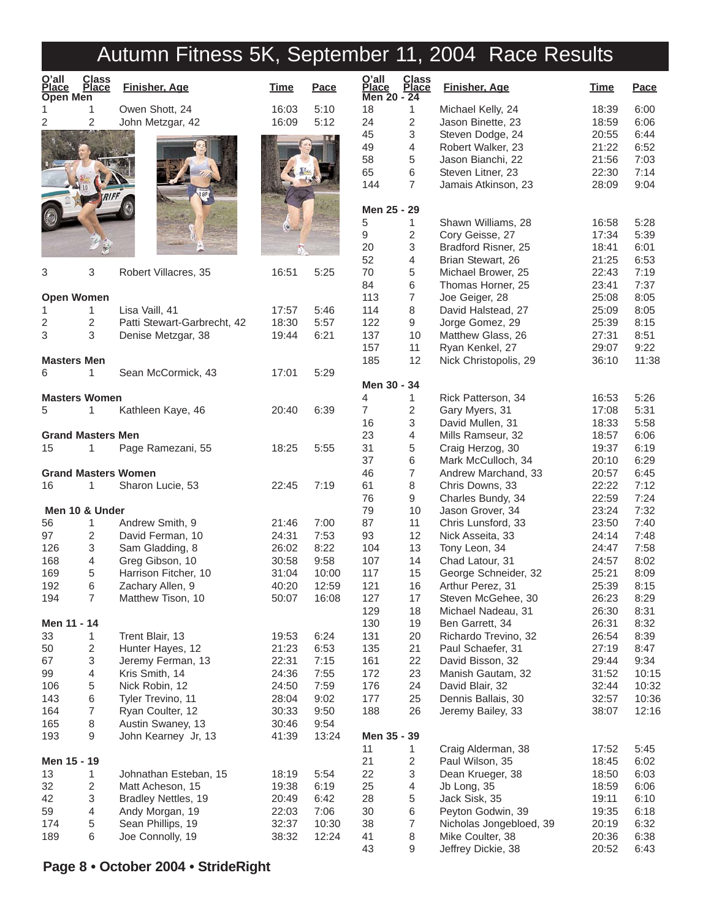|                                   |                          | Autumn Fitness 5K, September 11, 2004 Race Results |                |                |                               |                              |                                          |                |              |
|-----------------------------------|--------------------------|----------------------------------------------------|----------------|----------------|-------------------------------|------------------------------|------------------------------------------|----------------|--------------|
| O'all<br><b>Place</b><br>Open Men | Class<br>Place           | <b>Finisher, Age</b>                               | <b>Time</b>    | Pace           | O'all<br>Place<br>Men 20 - 24 | <b>Class</b><br><b>Place</b> | <b>Finisher, Age</b>                     | <b>Time</b>    | Pace         |
|                                   | 1                        | Owen Shott, 24                                     | 16:03          | 5:10           | 18                            | 1                            | Michael Kelly, 24                        | 18:39          | 6:00         |
| 2                                 | 2                        | John Metzgar, 42                                   | 16:09          | 5:12           | 24                            | $\sqrt{2}$                   | Jason Binette, 23                        | 18:59          | 6:06         |
|                                   |                          |                                                    |                |                | 45                            | 3                            | Steven Dodge, 24                         | 20:55          | 6:44         |
|                                   |                          |                                                    |                |                | 49                            | 4                            | Robert Walker, 23                        | 21:22          | 6:52         |
|                                   |                          |                                                    |                |                | 58                            | 5                            | Jason Bianchi, 22                        | 21:56          | 7:03         |
|                                   |                          |                                                    |                |                | 65                            | 6                            | Steven Litner, 23                        | 22:30          | 7:14         |
|                                   |                          |                                                    |                |                | 144                           | $\overline{7}$               | Jamais Atkinson, 23                      | 28:09          | 9:04         |
|                                   |                          |                                                    |                |                |                               |                              |                                          |                |              |
|                                   |                          |                                                    |                |                | Men 25 - 29                   |                              |                                          |                |              |
|                                   |                          |                                                    |                |                | 5                             | 1                            | Shawn Williams, 28                       | 16:58          | 5:28         |
|                                   |                          |                                                    |                |                | 9                             | 2                            | Cory Geisse, 27                          | 17:34          | 5:39         |
|                                   |                          |                                                    |                |                | 20                            | 3                            | Bradford Risner, 25                      | 18:41          | 6:01         |
|                                   |                          |                                                    |                |                | 52                            | 4                            | Brian Stewart, 26                        | 21:25          | 6:53         |
| 3                                 | 3                        | Robert Villacres, 35                               | 16:51          | 5:25           | 70                            | 5                            | Michael Brower, 25                       | 22:43          | 7:19         |
|                                   |                          |                                                    |                |                | 84                            | 6                            | Thomas Horner, 25                        | 23:41          | 7:37         |
| <b>Open Women</b>                 |                          |                                                    |                |                | 113                           | 7                            | Joe Geiger, 28                           | 25:08          | 8:05         |
| 1.                                | 1                        | Lisa Vaill, 41<br>Patti Stewart-Garbrecht, 42      | 17:57          | 5:46           | 114                           | 8                            | David Halstead, 27                       | 25:09          | 8:05         |
| 2<br>3                            | $\overline{c}$<br>3      |                                                    | 18:30          | 5:57<br>6:21   | 122<br>137                    | 9<br>10                      | Jorge Gomez, 29<br>Matthew Glass, 26     | 25:39<br>27:31 | 8:15<br>8:51 |
|                                   |                          | Denise Metzgar, 38                                 | 19:44          |                | 157                           | 11                           | Ryan Kenkel, 27                          | 29:07          | 9:22         |
| <b>Masters Men</b>                |                          |                                                    |                |                | 185                           | 12                           | Nick Christopolis, 29                    | 36:10          | 11:38        |
| 6                                 | 1                        | Sean McCormick, 43                                 | 17:01          | 5:29           |                               |                              |                                          |                |              |
|                                   |                          |                                                    |                |                | Men 30 - 34                   |                              |                                          |                |              |
|                                   | <b>Masters Women</b>     |                                                    |                |                | 4                             | 1                            | Rick Patterson, 34                       | 16:53          | 5:26         |
| 5                                 | 1                        | Kathleen Kaye, 46                                  | 20:40          | 6:39           | $\overline{7}$                | 2                            | Gary Myers, 31                           | 17:08          | 5:31         |
|                                   |                          |                                                    |                |                | 16                            | 3                            | David Mullen, 31                         | 18:33          | 5:58         |
|                                   | <b>Grand Masters Men</b> |                                                    |                |                | 23                            | 4                            | Mills Ramseur, 32                        | 18:57          | 6:06         |
| 15                                | 1                        | Page Ramezani, 55                                  | 18:25          | 5:55           | 31                            | 5                            | Craig Herzog, 30                         | 19:37          | 6:19         |
|                                   |                          |                                                    |                |                | 37                            | 6                            | Mark McCulloch, 34                       | 20:10          | 6:29         |
|                                   |                          | <b>Grand Masters Women</b>                         |                |                | 46                            | 7                            | Andrew Marchand, 33                      | 20:57          | 6:45         |
| 16                                | 1                        | Sharon Lucie, 53                                   | 22:45          | 7:19           | 61                            | 8                            | Chris Downs, 33                          | 22:22          | 7:12         |
|                                   |                          |                                                    |                |                | 76                            | 9                            | Charles Bundy, 34                        | 22:59          | 7:24         |
|                                   | Men 10 & Under           |                                                    |                |                | 79                            | 10                           | Jason Grover, 34                         | 23:24          | 7:32         |
| 56                                | 1                        | Andrew Smith, 9                                    | 21:46          | 7:00           | 87                            | 11                           | Chris Lunsford, 33                       | 23:50          | 7:40         |
| 97                                | $\overline{2}$           | David Ferman, 10                                   | 24:31          | 7:53           | 93                            | 12                           | Nick Asseita, 33                         | 24:14          | 7:48         |
| 126                               | 3<br>4                   | Sam Gladding, 8                                    | 26:02          | 8:22           | 104                           | 13<br>14                     | Tony Leon, 34                            | 24:47          | 7:58         |
| 168                               |                          | Greg Gibson, 10                                    | 30:58<br>31:04 | 9:58           | 107<br>117                    |                              | Chad Latour, 31                          | 24:57<br>25:21 | 8:02         |
| 169<br>192                        | 5<br>6                   | Harrison Fitcher, 10<br>Zachary Allen, 9           | 40:20          | 10:00<br>12:59 | 121                           | 15<br>16                     | George Schneider, 32<br>Arthur Perez, 31 | 25:39          | 8:09<br>8:15 |
| 194                               | $\overline{7}$           | Matthew Tison, 10                                  | 50:07          | 16:08          | 127                           | 17                           | Steven McGehee, 30                       | 26:23          | 8:29         |
|                                   |                          |                                                    |                |                | 129                           | 18                           | Michael Nadeau, 31                       | 26:30          | 8:31         |
| Men 11 - 14                       |                          |                                                    |                |                | 130                           | 19                           | Ben Garrett, 34                          | 26:31          | 8:32         |
| 33                                | 1                        | Trent Blair, 13                                    | 19:53          | 6:24           | 131                           | 20                           | Richardo Trevino, 32                     | 26:54          | 8:39         |
| 50                                | $\overline{c}$           | Hunter Hayes, 12                                   | 21:23          | 6:53           | 135                           | 21                           | Paul Schaefer, 31                        | 27:19          | 8:47         |
| 67                                | 3                        | Jeremy Ferman, 13                                  | 22:31          | 7:15           | 161                           | 22                           | David Bisson, 32                         | 29:44          | 9:34         |
| 99                                | $\overline{4}$           | Kris Smith, 14                                     | 24:36          | 7:55           | 172                           | 23                           | Manish Gautam, 32                        | 31:52          | 10:15        |
| 106                               | $\,$ 5 $\,$              | Nick Robin, 12                                     | 24:50          | 7:59           | 176                           | 24                           | David Blair, 32                          | 32:44          | 10:32        |
| 143                               | 6                        | Tyler Trevino, 11                                  | 28:04          | 9:02           | 177                           | 25                           | Dennis Ballais, 30                       | 32:57          | 10:36        |
| 164                               | $\overline{7}$           | Ryan Coulter, 12                                   | 30:33          | 9:50           | 188                           | 26                           | Jeremy Bailey, 33                        | 38:07          | 12:16        |
| 165                               | 8                        | Austin Swaney, 13                                  | 30:46          | 9:54           |                               |                              |                                          |                |              |
| 193                               | 9                        | John Kearney Jr, 13                                | 41:39          | 13:24          | Men 35 - 39                   |                              |                                          |                |              |
|                                   |                          |                                                    |                |                | 11                            | 1                            | Craig Alderman, 38                       | 17:52          | 5:45         |
| Men 15 - 19                       |                          |                                                    |                |                | 21                            | $\overline{c}$               | Paul Wilson, 35                          | 18:45          | 6:02         |
| 13                                | 1                        | Johnathan Esteban, 15                              | 18:19          | 5:54           | 22                            | 3                            | Dean Krueger, 38                         | 18:50          | 6:03         |
| 32                                | $\overline{c}$           | Matt Acheson, 15                                   | 19:38          | 6:19           | 25                            | 4                            | Jb Long, 35                              | 18:59          | 6:06         |
| 42                                | 3                        | Bradley Nettles, 19                                | 20:49          | 6:42           | 28                            | 5                            | Jack Sisk, 35                            | 19:11          | 6:10         |
| 59                                | $\overline{4}$           | Andy Morgan, 19                                    | 22:03          | 7:06           | 30                            | 6                            | Peyton Godwin, 39                        | 19:35          | 6:18         |
| 174                               | $\,$ 5 $\,$              | Sean Phillips, 19                                  | 32:37          | 10:30          | 38                            | 7                            | Nicholas Jongebloed, 39                  | 20:19          | 6:32         |
| 189                               | 6                        | Joe Connolly, 19                                   | 38:32          | 12:24          | 41                            | 8                            | Mike Coulter, 38                         | 20:36          | 6:38         |
|                                   |                          |                                                    |                |                | 43                            | 9                            | Jeffrey Dickie, 38                       | 20:52          | 6:43         |

#### **Page 8 • October 2004 • StrideRight**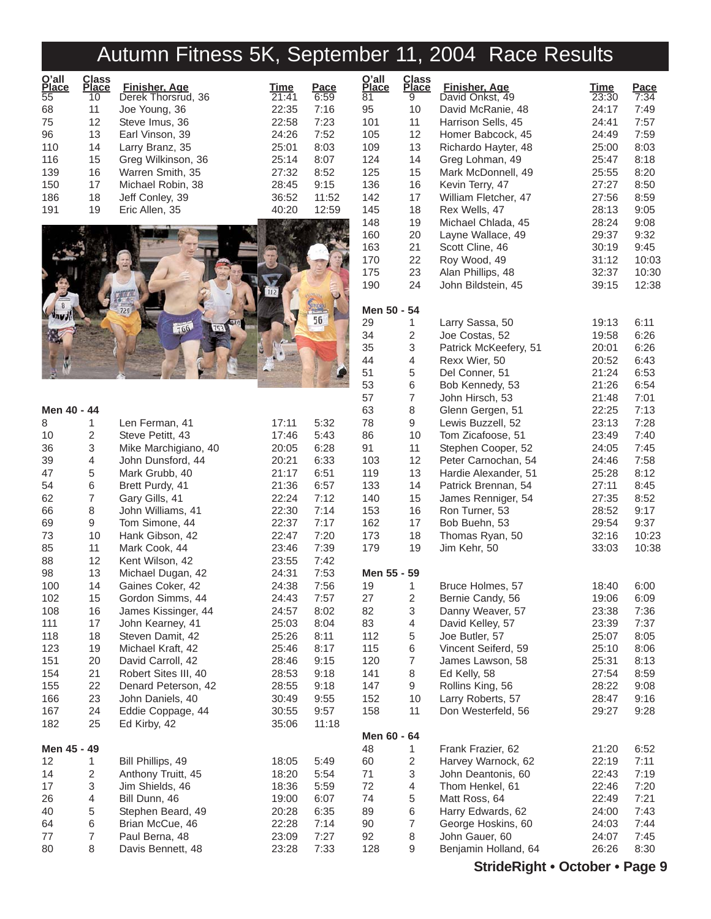# Autumn Fitness 5K, September 11, 2004 Race Results

| O'all<br>Place | Class<br>Place | <b>Finisher, Age</b> | Time  | Pace  |
|----------------|----------------|----------------------|-------|-------|
| 55             | 10             | Derek Thorsrud, 36   | 21:41 | 6:59  |
| 68             | 11             | Joe Young, 36        | 22:35 | 7:16  |
| 75             | 12             | Steve Imus, 36       | 22:58 | 7:23  |
| 96             | 13             | Earl Vinson, 39      | 24:26 | 7:52  |
| 110            | 14             | Larry Branz, 35      | 25:01 | 8:03  |
| 116            | 15             | Greg Wilkinson, 36   | 25:14 | 8:07  |
| 139            | 16             | Warren Smith, 35     | 27:32 | 8:52  |
| 150            | 17             | Michael Robin, 38    | 28:45 | 9:15  |
| 186            | 18             | Jeff Conley, 39      | 36:52 | 11:52 |
| 191            | 19             | Eric Allen, 35       | 40:20 | 12:59 |



| Men 40 - 44 |                |                      |       |       | $\epsilon$               |
|-------------|----------------|----------------------|-------|-------|--------------------------|
| 8           | 1              | Len Ferman, 41       | 17:11 | 5:32  | $\bar{l}$                |
| 10          | 2              | Steve Petitt, 43     | 17:46 | 5:43  | ξ                        |
| 36          | 3              | Mike Marchigiano, 40 | 20:05 | 6:28  | ć                        |
| 39          | $\overline{4}$ | John Dunsford, 44    | 20:21 | 6:33  | 1                        |
| 47          | 5              | Mark Grubb, 40       | 21:17 | 6:51  | 1                        |
| 54          | 6              | Brett Purdy, 41      | 21:36 | 6:57  | 1                        |
| 62          | $\overline{7}$ | Gary Gills, 41       | 22:24 | 7:12  | 1                        |
| 66          | 8              | John Williams, 41    | 22:30 | 7:14  | 1                        |
| 69          | 9              | Tom Simone, 44       | 22:37 | 7:17  | 1                        |
| 73          | 10             | Hank Gibson, 42      | 22:47 | 7:20  | 1                        |
| 85          | 11             | Mark Cook, 44        | 23:46 | 7:39  | 1                        |
| 88          | 12             | Kent Wilson, 42      | 23:55 | 7:42  |                          |
| 98          | 13             | Michael Dugan, 42    | 24:31 | 7:53  | ľ                        |
| 100         | 14             | Gaines Coker, 42     | 24:38 | 7:56  | 1                        |
| 102         | 15             | Gordon Simms, 44     | 24:43 | 7:57  | $\tilde{z}$              |
| 108         | 16             | James Kissinger, 44  | 24:57 | 8:02  | ξ                        |
| 111         | 17             | John Kearney, 41     | 25:03 | 8:04  | ξ                        |
| 118         | 18             | Steven Damit, 42     | 25:26 | 8:11  | 1                        |
| 123         | 19             | Michael Kraft, 42    | 25:46 | 8:17  | 1                        |
| 151         | 20             | David Carroll, 42    | 28:46 | 9:15  | 1                        |
| 154         | 21             | Robert Sites III, 40 | 28:53 | 9:18  | 1                        |
| 155         | 22             | Denard Peterson, 42  | 28:55 | 9:18  | 1                        |
| 166         | 23             | John Daniels, 40     | 30:49 | 9:55  |                          |
| 167         | 24             | Eddie Coppage, 44    | 30:55 | 9:57  | 1                        |
| 182         | 25             | Ed Kirby, 42         | 35:06 | 11:18 |                          |
|             |                |                      |       |       | ľ                        |
| Men 45 - 49 |                |                      |       |       | $\overline{\phantom{a}}$ |
| 12          | 1              | Bill Phillips, 49    | 18:05 | 5:49  | б                        |
| 14          | 2              | Anthony Truitt, 45   | 18:20 | 5:54  | 7                        |
| 17          | 3              | Jim Shields, 46      | 18:36 | 5:59  | 7                        |
| 26          | 4              | Bill Dunn, 46        | 19:00 | 6:07  | $\overline{I}$           |
| 40          | 5              | Stephen Beard, 49    | 20:28 | 6:35  | ξ                        |
| 64          | 6              | Brian McCue, 46      | 22:28 | 7:14  | ĉ                        |
| 77          | $\overline{7}$ | Paul Berna, 48       | 23:09 | 7:27  | ĉ                        |
| 80          | 8              | Davis Bennett, 48    | 23:28 | 7:33  | $\overline{1}$           |

| O'all<br><u>Place</u><br>81 | <b>Class</b><br><u>Place</u><br>9 | Finisher, Age<br>David Onkst, 49        | Time<br>23:30  | Pace<br>7:34 |
|-----------------------------|-----------------------------------|-----------------------------------------|----------------|--------------|
| 95                          | 10                                | David McRanie, 48                       | 24:17          | 7:49         |
| 101                         | 11                                | Harrison Sells, 45                      | 24:41          | 7:57         |
| 105                         | 12                                | Homer Babcock, 45                       | 24:49          | 7:59         |
| 109                         | 13                                | Richardo Hayter, 48                     | 25:00          | 8:03         |
| 124                         | 14                                | Greg Lohman, 49                         | 25:47          | 8:18         |
| 125                         | 15                                | Mark McDonnell, 49                      | 25:55          | 8:20         |
| 136                         | 16                                | Kevin Terry, 47                         | 27:27          | 8:50         |
| 142                         | 17                                | William Fletcher, 47                    | 27:56          | 8:59         |
| 145                         | 18                                | Rex Wells, 47                           | 28:13          | 9:05         |
| 148<br>160                  | 19<br>20                          | Michael Chlada, 45<br>Layne Wallace, 49 | 28:24<br>29:37 | 9:08<br>9:32 |
| 163                         | 21                                | Scott Cline, 46                         | 30:19          | 9:45         |
| 170                         | 22                                | Roy Wood, 49                            | 31:12          | 10:03        |
| 175                         | 23                                | Alan Phillips, 48                       | 32:37          | 10:30        |
| 190                         | 24                                | John Bildstein, 45                      | 39:15          | 12:38        |
| Men 50 - 54                 |                                   |                                         |                |              |
| 29                          | 1                                 | Larry Sassa, 50                         | 19:13          | 6:11         |
| 34                          | 2                                 | Joe Costas, 52                          | 19:58          | 6:26         |
| 35                          | 3                                 | Patrick McKeefery, 51                   | 20:01          | 6:26         |
| 44                          | 4                                 | Rexx Wier, 50                           | 20:52          | 6:43         |
| 51                          | 5                                 | Del Conner, 51                          | 21:24          | 6:53         |
| 53                          | 6                                 | Bob Kennedy, 53                         | 21:26          | 6:54         |
| 57                          | 7                                 | John Hirsch, 53                         | 21:48          | 7:01         |
| 63                          | 8                                 | Glenn Gergen, 51                        | 22:25          | 7:13         |
| 78                          | 9<br>10                           | Lewis Buzzell, 52                       | 23:13<br>23:49 | 7:28<br>7:40 |
| 86<br>91                    | 11                                | Tom Zicafoose, 51<br>Stephen Cooper, 52 | 24:05          | 7:45         |
| 103                         | 12                                | Peter Carnochan, 54                     | 24:46          | 7:58         |
| 119                         | 13                                | Hardie Alexander, 51                    | 25:28          | 8:12         |
| 133                         | 14                                | Patrick Brennan, 54                     | 27:11          | 8:45         |
| 140                         | 15                                | James Renniger, 54                      | 27:35          | 8:52         |
| 153                         | 16                                | Ron Turner, 53                          | 28:52          | 9:17         |
| 162                         | 17                                | Bob Buehn, 53                           | 29:54          | 9:37         |
| 173                         | 18                                | Thomas Ryan, 50                         | 32:16          | 10:23        |
| 179                         | 19                                | Jim Kehr, 50                            | 33:03          | 10:38        |
| Men 55 - 59                 |                                   |                                         |                |              |
| 19                          | 1                                 | Bruce Holmes, 57                        | 18:40          | 6:00         |
| 27                          | $\overline{c}$                    | Bernie Candy, 56                        | 19:06          | 6:09         |
| 82                          | 3<br>4                            | Danny Weaver, 57                        | 23:38          | 7:36         |
| 83<br>112                   | 5                                 | David Kelley, 57<br>Joe Butler, 57      | 23:39<br>25:07 | 7:37         |
| 115                         | 6                                 | Vincent Seiferd, 59                     | 25:10          | 8:05<br>8:06 |
| 120                         | 7                                 | James Lawson, 58                        | 25:31          | 8:13         |
| 141                         | 8                                 | Ed Kelly, 58                            | 27:54          | 8:59         |
| 147                         | 9                                 | Rollins King, 56                        | 28:22          | 9:08         |
| 152                         | 10                                | Larry Roberts, 57                       | 28:47          | 9:16         |
| 158                         | 11                                | Don Westerfeld, 56                      | 29:27          | 9:28         |
| Men 60 - 64                 |                                   |                                         |                |              |
| 48                          | 1                                 | Frank Frazier, 62                       | 21:20          | 6:52         |
| 60                          | 2                                 | Harvey Warnock, 62                      | 22:19          | 7:11         |
| 71                          | 3                                 | John Deantonis, 60                      | 22:43          | 7:19         |
| 72                          | 4                                 | Thom Henkel, 61                         | 22:46          | 7:20         |
| 74                          | 5                                 | Matt Ross, 64                           | 22:49          | 7:21         |
| 89                          | 6                                 | Harry Edwards, 62                       | 24:00          | 7:43         |
| 90                          | 7                                 | George Hoskins, 60                      | 24:03          | 7:44         |
| 92<br>128                   | 8<br>9                            | John Gauer, 60<br>Benjamin Holland, 64  | 24:07<br>26:26 | 7:45<br>8:30 |
|                             |                                   |                                         |                |              |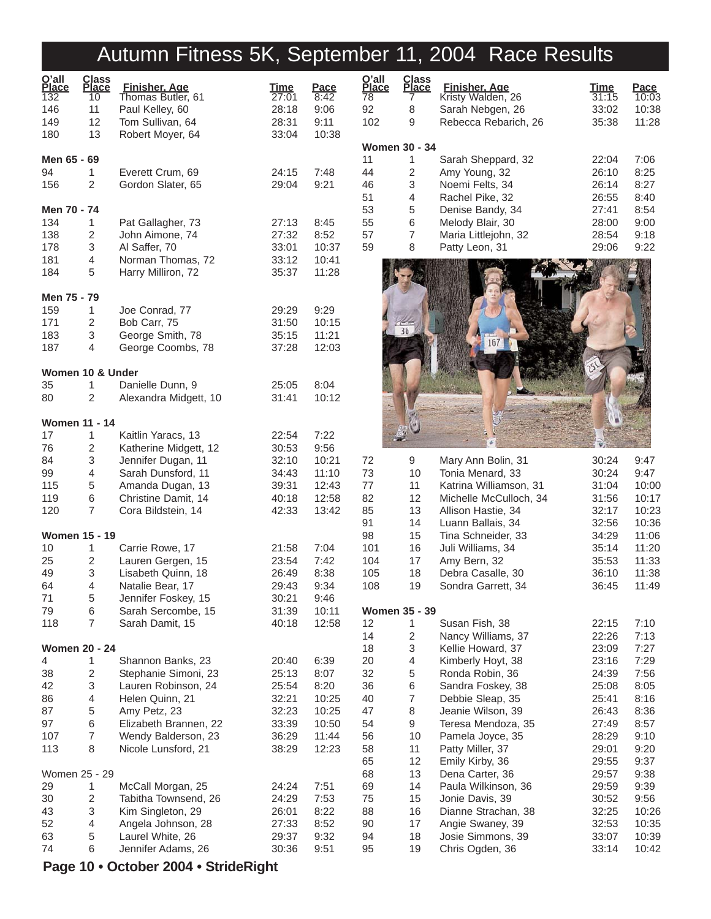# Autumn Fitness 5K, September 11, 2004 Race Results

| O'all<br><b>Place</b> | Class<br>Place | <b>Finisher, Age</b>                      | <b>Time</b>    | <u>Pace</u>    |
|-----------------------|----------------|-------------------------------------------|----------------|----------------|
| 132                   | 10             | Thomas Butler, 61                         | 27:01          | 8:42           |
| 146<br>149            | 11<br>12       | Paul Kelley, 60<br>Tom Sullivan, 64       | 28:18<br>28:31 | 9:06<br>9:11   |
| 180                   | 13             | Robert Moyer, 64                          | 33:04          | 10:38          |
|                       |                |                                           |                |                |
| Men 65 - 69           |                |                                           |                |                |
| 94                    | 1              | Everett Crum, 69                          | 24:15          | 7:48           |
| 156                   | $\overline{2}$ | Gordon Slater, 65                         | 29:04          | 9:21           |
| Men 70 - 74           |                |                                           |                |                |
| 134                   | 1              | Pat Gallagher, 73                         | 27:13          | 8:45           |
| 138                   | 2              | John Aimone, 74                           | 27:32          | 8:52           |
| 178                   | 3              | Al Saffer, 70                             | 33:01          | 10:37          |
| 181                   | 4              | Norman Thomas, 72                         | 33:12          | 10:41          |
| 184                   | 5              | Harry Milliron, 72                        | 35:37          | 11:28          |
| Men 75 - 79           |                |                                           |                |                |
| 159                   | 1              | Joe Conrad, 77                            | 29:29          | 9:29           |
| 171                   | 2              | Bob Carr, 75                              | 31:50          | 10:15          |
| 183                   | 3              | George Smith, 78                          | 35:15          | 11:21          |
| 187                   | 4              | George Coombs, 78                         | 37:28          | 12:03          |
| Women 10 & Under      |                |                                           |                |                |
| 35                    | 1              | Danielle Dunn, 9                          | 25:05          | 8:04           |
| 80                    | 2              | Alexandra Midgett, 10                     | 31:41          | 10:12          |
| <b>Women 11 - 14</b>  |                |                                           |                |                |
| 17                    | 1              | Kaitlin Yaracs, 13                        | 22:54          | 7:22           |
| 76                    | 2              | Katherine Midgett, 12                     | 30:53          | 9:56           |
| 84                    | 3              | Jennifer Dugan, 11                        | 32:10          | 10:21          |
| 99                    | 4              | Sarah Dunsford, 11                        | 34:43          | 11:10          |
| 115                   | 5              | Amanda Dugan, 13                          | 39:31          | 12:43          |
| 119                   | 6              | Christine Damit, 14                       | 40:18          | 12:58          |
| 120                   | 7              | Cora Bildstein, 14                        | 42:33          | 13:42          |
| <b>Women 15 - 19</b>  |                |                                           |                |                |
| 10                    | 1              | Carrie Rowe, 17                           | 21:58          | 7:04           |
| 25                    | 2              | Lauren Gergen, 15                         | 23:54          | 7:42           |
| 49                    | 3              | Lisabeth Quinn, 18                        | 26:49          | 8:38           |
| 64                    | 4              | Natalie Bear, 17                          | 29:43          | 9:34           |
| 71                    | 5              | Jennifer Foskey, 15                       | 30:21          | 9:46           |
| 79                    | 6              | Sarah Sercombe, 15                        | 31:39          | 10:11          |
| 118                   | 7              | Sarah Damit, 15                           | 40:18          | 12:58          |
| Women 20 - 24         |                |                                           |                |                |
| 4                     | 1              | Shannon Banks, 23                         | 20:40          | 6:39           |
| 38                    | 2              | Stephanie Simoni, 23                      | 25:13          | 8:07           |
| 42                    | 3              | Lauren Robinson, 24                       | 25:54          | 8:20           |
| 86                    | 4              | Helen Quinn, 21                           | 32:21          | 10:25          |
| 87<br>97              | 5<br>6         | Amy Petz, 23<br>Elizabeth Brannen, 22     | 32:23<br>33:39 | 10:25<br>10:50 |
| 107                   | $\overline{7}$ | Wendy Balderson, 23                       | 36:29          | 11:44          |
| 113                   | 8              | Nicole Lunsford, 21                       | 38:29          | 12:23          |
|                       |                |                                           |                |                |
| Women 25 - 29         |                |                                           |                |                |
| 29                    | 1<br>2         | McCall Morgan, 25                         | 24:24          | 7:51           |
| 30<br>43              | 3              | Tabitha Townsend, 26<br>Kim Singleton, 29 | 24:29<br>26:01 | 7:53<br>8:22   |
| 52                    | 4              | Angela Johnson, 28                        | 27:33          | 8:52           |
| 63                    | 5              | Laurel White, 26                          | 29:37          | 9:32           |
| 74                    | 6              | Jennifer Adams, 26                        | 30:36          | 9:51           |
|                       |                | Page 10 • October 2004 • StrideRight      |                |                |

| O'all<br><u>Place</u><br>$\frac{1}{78}$ | <b>Class</b><br>Place | Finisher, Age        | Time  | Pace  |
|-----------------------------------------|-----------------------|----------------------|-------|-------|
|                                         |                       | Kristy Walden, 26    | 31:15 | 10:03 |
| 92                                      | 8                     | Sarah Nebgen, 26     | 33:02 | 10:38 |
| 102                                     | 9                     | Rebecca Rebarich, 26 | 35:38 | 11:28 |
| Women 30 - 34                           |                       |                      |       |       |
| 11                                      | 1                     | Sarah Sheppard, 32   | 22:04 | 7:06  |
| 44                                      | 2                     | Amy Young, 32        | 26:10 | 8:25  |
| 46                                      | 3                     | Noemi Felts, 34      | 26:14 | 8:27  |
| 51                                      | 4                     | Rachel Pike, 32      | 26:55 | 8:40  |
| 53                                      | 5                     | Denise Bandy, 34     | 27:41 | 8:54  |
| 55                                      | 6                     | Melody Blair, 30     | 28:00 | 9:00  |
| 57                                      | 7                     | Maria Littlejohn, 32 | 28:54 | 9:18  |
| 59                                      | 8                     | Patty Leon, 31       | 29:06 | 9:22  |



| 72<br>73<br>77<br>82<br>85<br>91<br>98<br>101<br>104<br>105<br>108 | 9<br>10<br>11<br>12<br>13<br>14<br>15<br>16<br>17<br>18<br>19 | Mary Ann Bolin, 31<br>Tonia Menard, 33<br>Katrina Williamson, 31<br>Michelle McCulloch, 34<br>Allison Hastie, 34<br>Luann Ballais, 34<br>Tina Schneider, 33<br>Juli Williams, 34<br>Amy Bern, 32<br>Debra Casalle, 30<br>Sondra Garrett, 34 | 30:24<br>30:24<br>31:04<br>31:56<br>32:17<br>32:56<br>34:29<br>35:14<br>35:53<br>36:10<br>36:45 | 9:47<br>9:47<br>10:00<br>10:17<br>10:23<br>10:36<br>11:06<br>11:20<br>11:33<br>11:38<br>11:49 |
|--------------------------------------------------------------------|---------------------------------------------------------------|---------------------------------------------------------------------------------------------------------------------------------------------------------------------------------------------------------------------------------------------|-------------------------------------------------------------------------------------------------|-----------------------------------------------------------------------------------------------|
|                                                                    |                                                               |                                                                                                                                                                                                                                             |                                                                                                 |                                                                                               |
|                                                                    | <b>Women 35 - 39</b>                                          |                                                                                                                                                                                                                                             |                                                                                                 |                                                                                               |
| 12                                                                 | 1                                                             | Susan Fish, 38                                                                                                                                                                                                                              | 22:15                                                                                           | 7:10                                                                                          |
| 14                                                                 | 2                                                             | Nancy Williams, 37                                                                                                                                                                                                                          | 22:26                                                                                           | 7:13                                                                                          |
| 18                                                                 | 3                                                             | Kellie Howard, 37                                                                                                                                                                                                                           | 23:09                                                                                           | 7:27                                                                                          |
| 20                                                                 | 4                                                             | Kimberly Hoyt, 38                                                                                                                                                                                                                           | 23:16                                                                                           | 7:29                                                                                          |
| 32                                                                 | 5                                                             | Ronda Robin, 36                                                                                                                                                                                                                             | 24:39                                                                                           | 7:56                                                                                          |
| 36                                                                 | 6                                                             | Sandra Foskey, 38                                                                                                                                                                                                                           | 25:08                                                                                           | 8:05                                                                                          |
| 40                                                                 | 7                                                             | Debbie Sleap, 35                                                                                                                                                                                                                            | 25:41                                                                                           | 8:16                                                                                          |
| 47                                                                 | 8                                                             | Jeanie Wilson, 39                                                                                                                                                                                                                           | 26:43                                                                                           | 8:36                                                                                          |
| 54                                                                 | 9                                                             | Teresa Mendoza, 35                                                                                                                                                                                                                          | 27:49                                                                                           | 8:57                                                                                          |
| 56                                                                 | 10                                                            | Pamela Joyce, 35                                                                                                                                                                                                                            | 28:29                                                                                           | 9:10                                                                                          |
| 58                                                                 | 11                                                            | Patty Miller, 37                                                                                                                                                                                                                            | 29:01                                                                                           | 9:20                                                                                          |
| 65                                                                 | 12                                                            | Emily Kirby, 36                                                                                                                                                                                                                             | 29:55                                                                                           | 9:37                                                                                          |
| 68                                                                 | 13                                                            | Dena Carter, 36                                                                                                                                                                                                                             | 29:57                                                                                           | 9:38                                                                                          |
| 69                                                                 | 14                                                            | Paula Wilkinson, 36                                                                                                                                                                                                                         | 29:59                                                                                           | 9:39                                                                                          |
| 75                                                                 | 15                                                            | Jonie Davis, 39                                                                                                                                                                                                                             | 30:52                                                                                           | 9:56                                                                                          |
| 88                                                                 | 16                                                            | Dianne Strachan, 38                                                                                                                                                                                                                         | 32:25                                                                                           | 10:26                                                                                         |
| 90                                                                 | 17                                                            | Angie Swaney, 39                                                                                                                                                                                                                            | 32:53                                                                                           | 10:35                                                                                         |
| 94                                                                 | 18                                                            | Josie Simmons, 39                                                                                                                                                                                                                           | 33:07                                                                                           | 10:39                                                                                         |
| 95                                                                 | 19                                                            | Chris Ogden, 36                                                                                                                                                                                                                             | 33:14                                                                                           | 10:42                                                                                         |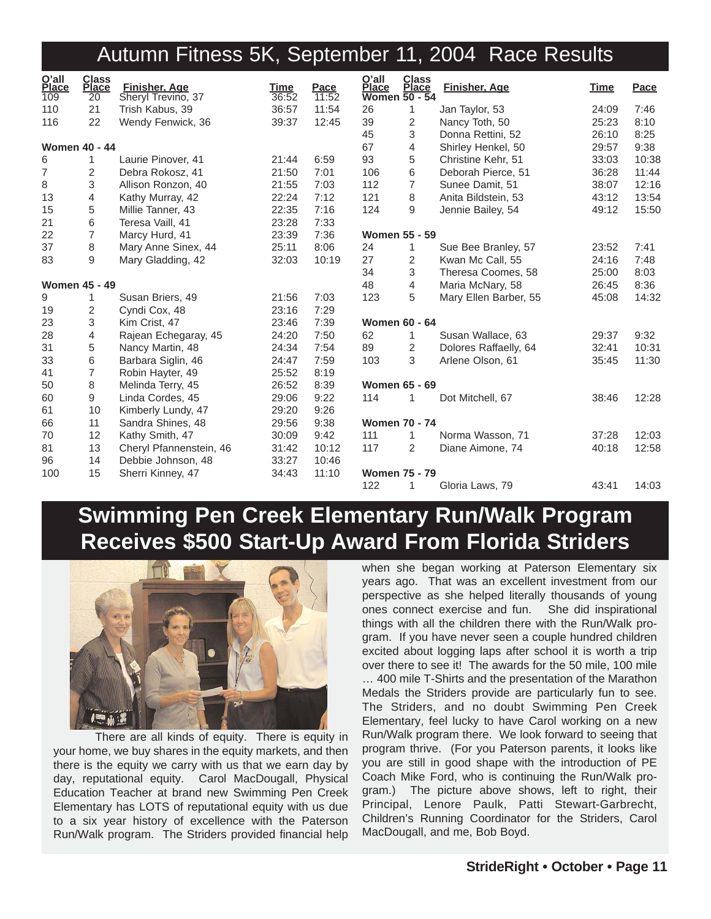#### Autumn Fitness 5K, September 11, 2004 Race Results

| O'all<br>Place<br>109 | <b>Class</b><br><b>Place</b><br>20 | Finisher, Age<br>Sheryl Trevino, 37 | Time<br>36:52 | Pace<br>11:52 | O'all<br>Place | <b>Class</b><br><b>Place</b><br><b>Women 50 - 54</b> | <b>Finisher, Age</b>  | Time  | Pace  |
|-----------------------|------------------------------------|-------------------------------------|---------------|---------------|----------------|------------------------------------------------------|-----------------------|-------|-------|
| 110                   | 21                                 | Trish Kabus, 39                     | 36:57         | 11:54         | 26             | 1                                                    | Jan Taylor, 53        | 24:09 | 7:46  |
| 116                   | 22                                 | Wendy Fenwick, 36                   | 39:37         | 12:45         | 39             | $\overline{2}$                                       | Nancy Toth, 50        | 25:23 | 8:10  |
|                       |                                    |                                     |               |               | 45             | 3                                                    | Donna Rettini, 52     | 26:10 | 8:25  |
| <b>Women 40 - 44</b>  |                                    |                                     |               |               | 67             | 4                                                    | Shirley Henkel, 50    | 29:57 | 9:38  |
| 6                     | 1                                  | Laurie Pinover, 41                  | 21:44         | 6:59          | 93             | 5                                                    | Christine Kehr, 51    | 33:03 | 10:38 |
| $\overline{7}$        | 2                                  | Debra Rokosz, 41                    | 21:50         | 7:01          | 106            | $\,6\,$                                              | Deborah Pierce, 51    | 36:28 | 11:44 |
| 8                     | 3                                  | Allison Ronzon, 40                  | 21:55         | 7:03          | 112            | $\overline{7}$                                       | Sunee Damit, 51       | 38:07 | 12:16 |
| 13                    | 4                                  | Kathy Murray, 42                    | 22:24         | 7:12          | 121            | 8                                                    | Anita Bildstein, 53   | 43:12 | 13:54 |
| 15                    | 5                                  | Millie Tanner, 43                   | 22:35         | 7:16          | 124            | 9                                                    | Jennie Bailey, 54     | 49:12 | 15:50 |
| 21                    | 6                                  | Teresa Vaill, 41                    | 23:28         | 7:33          |                |                                                      |                       |       |       |
| 22                    | $\overline{7}$                     | Marcy Hurd, 41                      | 23:39         | 7:36          |                | <b>Women 55 - 59</b>                                 |                       |       |       |
| 37                    | 8                                  | Mary Anne Sinex, 44                 | 25:11         | 8:06          | 24             | 1                                                    | Sue Bee Branley, 57   | 23:52 | 7:41  |
| 83                    | 9                                  | Mary Gladding, 42                   | 32:03         | 10:19         | 27             | 2                                                    | Kwan Mc Call, 55      | 24:16 | 7:48  |
|                       |                                    |                                     |               |               | 34             | 3                                                    | Theresa Coomes, 58    | 25:00 | 8:03  |
| <b>Women 45 - 49</b>  |                                    |                                     |               |               | 48             | 4                                                    | Maria McNary, 58      | 26:45 | 8:36  |
| 9                     | 1                                  | Susan Briers, 49                    | 21:56         | 7:03          | 123            | 5                                                    | Mary Ellen Barber, 55 | 45:08 | 14:32 |
| 19                    | 2                                  | Cyndi Cox, 48                       | 23:16         | 7:29          |                |                                                      |                       |       |       |
| 23                    | 3                                  | Kim Crist, 47                       | 23:46         | 7:39          |                | <b>Women 60 - 64</b>                                 |                       |       |       |
| 28                    | 4                                  | Rajean Echegaray, 45                | 24:20         | 7:50          | 62             | 1                                                    | Susan Wallace, 63     | 29:37 | 9:32  |
| 31                    | 5                                  | Nancy Martin, 48                    | 24:34         | 7:54          | 89             | 2                                                    | Dolores Raffaelly, 64 | 32:41 | 10:31 |
| 33                    | 6                                  | Barbara Siglin, 46                  | 24:47         | 7:59          | 103            | 3                                                    | Arlene Olson, 61      | 35:45 | 11:30 |
| 41                    | $\overline{7}$                     | Robin Hayter, 49                    | 25:52         | 8:19          |                |                                                      |                       |       |       |
| 50                    | 8                                  | Melinda Terry, 45                   | 26:52         | 8:39          |                | <b>Women 65 - 69</b>                                 |                       |       |       |
| 60                    | 9                                  | Linda Cordes, 45                    | 29:06         | 9:22          | 114            | 1                                                    | Dot Mitchell, 67      | 38:46 | 12:28 |
| 61                    | 10                                 | Kimberly Lundy, 47                  | 29:20         | 9:26          |                |                                                      |                       |       |       |
| 66                    | 11                                 | Sandra Shines, 48                   | 29:56         | 9:38          |                | <b>Women 70 - 74</b>                                 |                       |       |       |
| 70                    | 12                                 | Kathy Smith, 47                     | 30:09         | 9:42          | 111            | 1                                                    | Norma Wasson, 71      | 37:28 | 12:03 |
| 81                    | 13                                 | Cheryl Pfannenstein, 46             | 31:42         | 10:12         | 117            | $\overline{2}$                                       | Diane Aimone, 74      | 40:18 | 12:58 |
| 96                    | 14                                 | Debbie Johnson, 48                  | 33:27         | 10:46         |                |                                                      |                       |       |       |
| 100                   | 15                                 | Sherri Kinney, 47                   | 34:43         | 11:10         |                | <b>Women 75 - 79</b>                                 |                       |       |       |
|                       |                                    |                                     |               |               | 122            | 1                                                    | Gloria Laws, 79       | 43:41 | 14:03 |

#### **Swimming Pen Creek Elementary Run/Walk Program Receives \$500 Start-Up Award From Florida Striders**



There are all kinds of equity. There is equity in your home, we buy shares in the equity markets, and then there is the equity we carry with us that we earn day by day, reputational equity. Carol MacDougall, Physical Education Teacher at brand new Swimming Pen Creek Elementary has LOTS of reputational equity with us due to a six year history of excellence with the Paterson Run/Walk program. The Striders provided financial help

when she began working at Paterson Elementary six years ago. That was an excellent investment from our perspective as she helped literally thousands of young ones connect exercise and fun. She did inspirational things with all the children there with the Run/Walk program. If you have never seen a couple hundred children excited about logging laps after school it is worth a trip over there to see it! The awards for the 50 mile, 100 mile … 400 mile T-Shirts and the presentation of the Marathon Medals the Striders provide are particularly fun to see. The Striders, and no doubt Swimming Pen Creek Elementary, feel lucky to have Carol working on a new Run/Walk program there. We look forward to seeing that program thrive. (For you Paterson parents, it looks like you are still in good shape with the introduction of PE Coach Mike Ford, who is continuing the Run/Walk program.) The picture above shows, left to right, their Principal, Lenore Paulk, Patti Stewart-Garbrecht, Children's Running Coordinator for the Striders, Carol MacDougall, and me, Bob Boyd.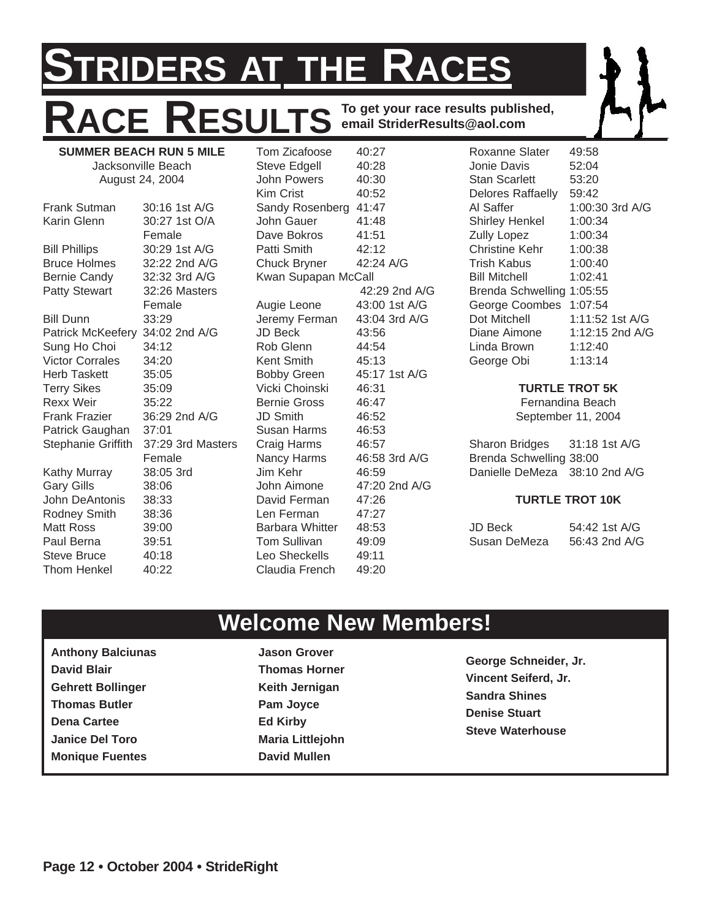#### **STRIDERS AT THE RACES RACE RESULTS To get your race results published, email StriderResults@aol.com SUMMER BEACH RUN 5 MILE** Tom Zicafoose 40:27

August 24, 2004 Frank Sutman 30:16 1st A/G Karin Glenn 30:27 1st O/A Female Bill Phillips 30:29 1st A/G Bruce Holmes 32:22 2nd A/G Bernie Candy 32:32 3rd A/G Patty Stewart 32:26 Masters Female Bill Dunn 33:29 Patrick McKeefery 34:02 2nd A/G Sung Ho Choi 34:12<br>Victor Corrales 34:20 Victor Corrales Herb Taskett 35:05 Terry Sikes 35:09 Rexx Weir 35:22 Frank Frazier 36:29 2nd A/G Patrick Gaughan 37:01 Stephanie Griffith 37:29 3rd Masters Female Kathy Murray 38:05 3rd Gary Gills 38:06 John DeAntonis 38:33 Rodney Smith 38:36 Matt Ross 39:00 Paul Berna 39:51 Steve Bruce 40:18 Thom Henkel 40:22

Jacksonville Beach

Steve Edgell 40:28 John Powers 40:30 Kim Crist 40:52 Sandy Rosenberg 41:47 John Gauer 41:48 Dave Bokros 41:51 Patti Smith 42:12 Chuck Bryner 42:24 A/G Kwan Supapan McCall 42:29 2nd A/G Augie Leone 43:00 1st A/G Jeremy Ferman 43:04 3rd A/G JD Beck 43:56 Rob Glenn 44:54 Kent Smith 45:13 Bobby Green 45:17 1st A/G Vicki Choinski 46:31 Bernie Gross 46:47 JD Smith 46:52 Susan Harms 46:53 Craig Harms 46:57 Nancy Harms 46:58 3rd A/G Jim Kehr 46:59 John Aimone 47:20 2nd A/G David Ferman 47:26 Len Ferman 47:27 Barbara Whitter 48:53 Tom Sullivan 49:09 Leo Sheckells 49:11 Claudia French 49:20

Roxanne Slater 49:58 Jonie Davis 52:04 Stan Scarlett 53:20 Delores Raffaelly 59:42 Al Saffer 1:00:30 3rd A/G Shirley Henkel 1:00:34 Zully Lopez 1:00:34 Christine Kehr 1:00:38 Trish Kabus 1:00:40 Bill Mitchell 1:02:41 Brenda Schwelling 1:05:55 George Coombes 1:07:54 Dot Mitchell 1:11:52 1st A/G Diane Aimone 1:12:15 2nd A/G Linda Brown 1:12:40 George Obi 1:13:14

#### **TURTLE TROT 5K**

Fernandina Beach September 11, 2004

Sharon Bridges 31:18 1st A/G Brenda Schwelling 38:00 Danielle DeMeza 38:10 2nd A/G

#### **TURTLE TROT 10K**

JD Beck 54:42 1st A/G Susan DeMeza 56:43 2nd A/G

### **Welcome New Members!**

**Anthony Balciunas David Blair Gehrett Bollinger Thomas Butler Dena Cartee Janice Del Toro Monique Fuentes**

**Jason Grover Thomas Horner Keith Jernigan Pam Joyce Ed Kirby Maria Littlejohn David Mullen**

**George Schneider, Jr. Vincent Seiferd, Jr. Sandra Shines Denise Stuart Steve Waterhouse**

**Page 12 • October 2004 • StrideRight**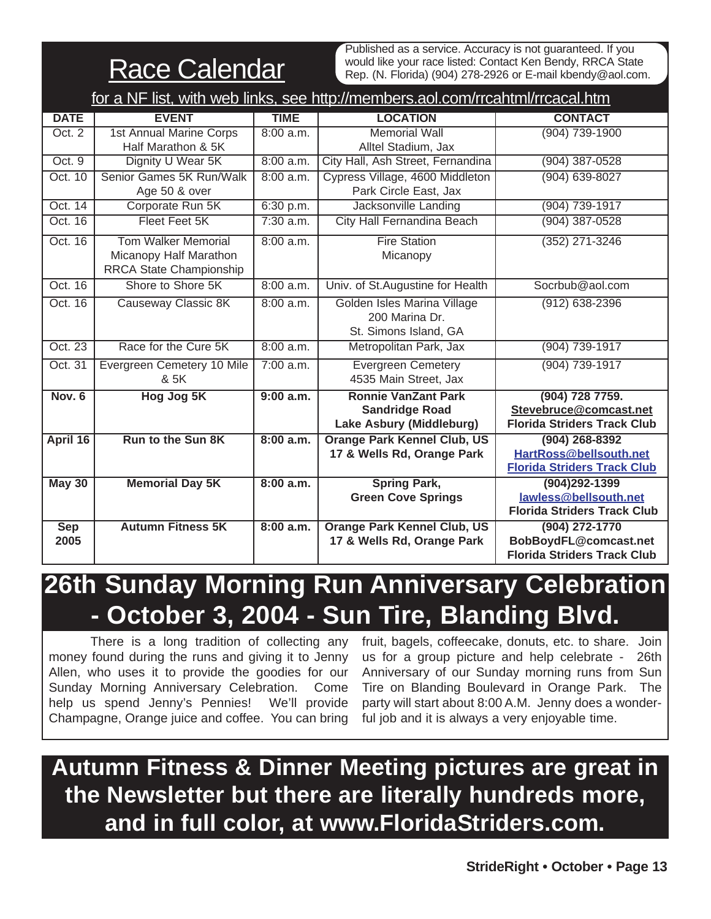**Race Calendar** 

Published as a service. Accuracy is not guaranteed. If you would like your race listed: Contact Ken Bendy, RRCA State Rep. (N. Florida) (904) 278-2926 or E-mail kbendy@aol.com.

|                    | for a NF list, with web links, see http://members.aol.com/rrcahtml/rrcacal.htm  |             |                                                                                 |                                                                                  |  |  |  |  |  |  |  |  |
|--------------------|---------------------------------------------------------------------------------|-------------|---------------------------------------------------------------------------------|----------------------------------------------------------------------------------|--|--|--|--|--|--|--|--|
| <b>DATE</b>        | <b>EVENT</b>                                                                    | <b>TIME</b> | <b>LOCATION</b>                                                                 | <b>CONTACT</b>                                                                   |  |  |  |  |  |  |  |  |
| Oct. $2$           | <b>1st Annual Marine Corps</b><br>Half Marathon & 5K                            | 8:00 a.m.   | <b>Memorial Wall</b><br>Alltel Stadium, Jax                                     | $(904)$ 739-1900                                                                 |  |  |  |  |  |  |  |  |
| Oct. $9$           | Dignity U Wear 5K                                                               | 8:00 a.m.   | City Hall, Ash Street, Fernandina                                               | $(904)$ 387-0528                                                                 |  |  |  |  |  |  |  |  |
| Oct. 10            | Senior Games 5K Run/Walk<br>Age 50 & over                                       | 8:00 a.m.   | Cypress Village, 4600 Middleton<br>Park Circle East, Jax                        | $(904) 639 - 8027$                                                               |  |  |  |  |  |  |  |  |
| Oct. 14            | Corporate Run 5K                                                                | 6:30 p.m.   | Jacksonville Landing                                                            | (904) 739-1917                                                                   |  |  |  |  |  |  |  |  |
| Oct. 16            | Fleet Feet 5K                                                                   | $7:30$ a.m. | <b>City Hall Fernandina Beach</b>                                               | $(904)$ 387-0528                                                                 |  |  |  |  |  |  |  |  |
| Oct. 16            | <b>Tom Walker Memorial</b><br>Micanopy Half Marathon<br>RRCA State Championship | 8:00 a.m.   | <b>Fire Station</b><br>Micanopy                                                 | $(352)$ 271-3246                                                                 |  |  |  |  |  |  |  |  |
| Oct. 16            | Shore to Shore 5K                                                               | 8:00 a.m.   | Univ. of St.Augustine for Health                                                | Socrbub@aol.com                                                                  |  |  |  |  |  |  |  |  |
| Oct. 16            | <b>Causeway Classic 8K</b>                                                      | 8:00 a.m.   | Golden Isles Marina Village<br>200 Marina Dr.<br>St. Simons Island, GA          | $(912) 638 - 2396$                                                               |  |  |  |  |  |  |  |  |
| Oct. 23            | Race for the Cure 5K                                                            | 8:00 a.m.   | Metropolitan Park, Jax                                                          | (904) 739-1917                                                                   |  |  |  |  |  |  |  |  |
| Oct. 31            | Evergreen Cemetery 10 Mile<br>& 5K                                              | $7:00$ a.m. | <b>Evergreen Cemetery</b><br>4535 Main Street, Jax                              | $(904)$ 739-1917                                                                 |  |  |  |  |  |  |  |  |
| Nov. $6$           | <b>Hog Jog 5K</b>                                                               | 9:00 a.m.   | <b>Ronnie VanZant Park</b><br><b>Sandridge Road</b><br>Lake Asbury (Middleburg) | (904) 728 7759.<br>Stevebruce@comcast.net<br><b>Florida Striders Track Club</b>  |  |  |  |  |  |  |  |  |
| April 16           | <b>Run to the Sun 8K</b>                                                        | 8:00 a.m.   | <b>Orange Park Kennel Club, US</b><br>17 & Wells Rd, Orange Park                | $(904)$ 268-8392<br>HartRoss@bellsouth.net<br><b>Florida Striders Track Club</b> |  |  |  |  |  |  |  |  |
| <b>May 30</b>      | <b>Memorial Day 5K</b>                                                          | 8:00 a.m.   | <b>Spring Park,</b><br><b>Green Cove Springs</b>                                | $(904)292 - 1399$<br>lawless@bellsouth.net<br><b>Florida Striders Track Club</b> |  |  |  |  |  |  |  |  |
| <b>Sep</b><br>2005 | <b>Autumn Fitness 5K</b>                                                        | 8:00 a.m.   | <b>Orange Park Kennel Club, US</b><br>17 & Wells Rd, Orange Park                | (904) 272-1770<br>BobBoydFL@comcast.net<br><b>Florida Striders Track Club</b>    |  |  |  |  |  |  |  |  |

## **26th Sunday Morning Run Anniversary Celebration - October 3, 2004 - Sun Tire, Blanding Blvd.**

There is a long tradition of collecting any money found during the runs and giving it to Jenny Allen, who uses it to provide the goodies for our Sunday Morning Anniversary Celebration. Come help us spend Jenny's Pennies! We'll provide Champagne, Orange juice and coffee. You can bring

fruit, bagels, coffeecake, donuts, etc. to share. Join us for a group picture and help celebrate - 26th Anniversary of our Sunday morning runs from Sun Tire on Blanding Boulevard in Orange Park. The party will start about 8:00 A.M. Jenny does a wonderful job and it is always a very enjoyable time.

## **Autumn Fitness & Dinner Meeting pictures are great in the Newsletter but there are literally hundreds more, and in full color, at www.FloridaStriders.com.**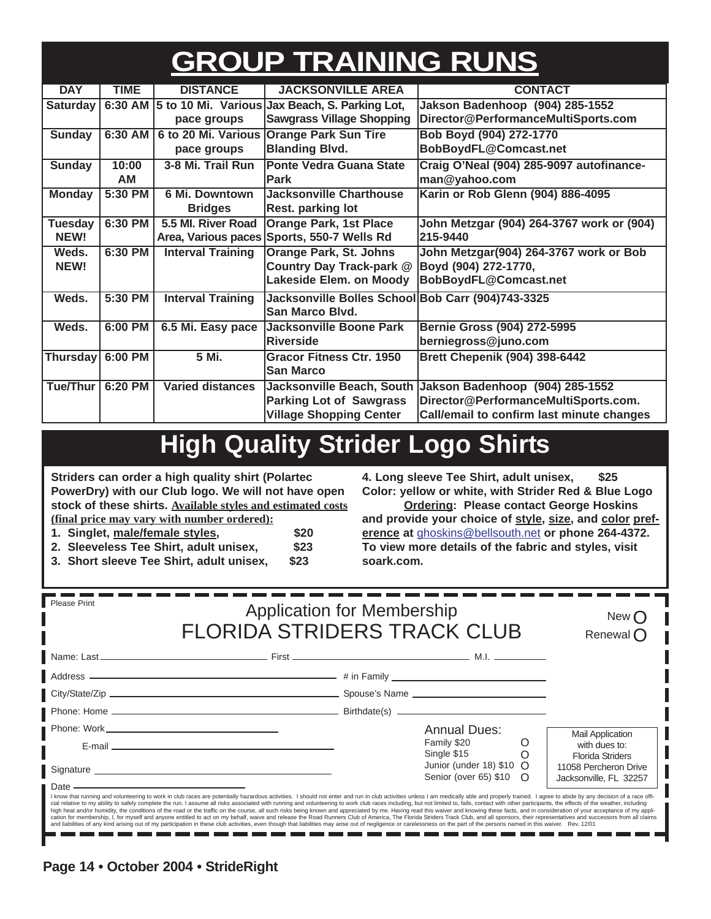# **GROUP TRAINING RUNS**

| <b>DAY</b>       | <b>TIME</b> | <b>DISTANCE</b>          | <b>JACKSONVILLE AREA</b>                               | <b>CONTACT</b>                                            |  |  |
|------------------|-------------|--------------------------|--------------------------------------------------------|-----------------------------------------------------------|--|--|
| Saturday         |             |                          | 6:30 AM 5 to 10 Mi. Various Jax Beach, S. Parking Lot, | Jakson Badenhoop (904) 285-1552                           |  |  |
|                  |             | pace groups              | <b>Sawgrass Village Shopping</b>                       | Director@PerformanceMultiSports.com                       |  |  |
| <b>Sunday</b>    | 6:30 AM     | 6 to 20 Mi. Various      | <b>Orange Park Sun Tire</b>                            | Bob Boyd (904) 272-1770                                   |  |  |
|                  |             | pace groups              | <b>Blanding Blvd.</b>                                  | BobBoydFL@Comcast.net                                     |  |  |
| <b>Sunday</b>    | 10:00       | 3-8 Mi. Trail Run        | <b>Ponte Vedra Guana State</b>                         | Craig O'Neal (904) 285-9097 autofinance-                  |  |  |
|                  | AM          |                          | Park                                                   | man@yahoo.com                                             |  |  |
| <b>Monday</b>    | 5:30 PM     | <b>6 Mi. Downtown</b>    | <b>Jacksonville Charthouse</b>                         | Karin or Rob Glenn (904) 886-4095                         |  |  |
|                  |             | <b>Bridges</b>           | Rest. parking lot                                      |                                                           |  |  |
| <b>Tuesday</b>   | 6:30 PM     | 5.5 MI. River Road       | <b>Orange Park, 1st Place</b>                          | John Metzgar (904) 264-3767 work or (904)                 |  |  |
| NEW!             |             | Area, Various paces      | Sports, 550-7 Wells Rd                                 | 215-9440                                                  |  |  |
| Weds.            | 6:30 PM     | <b>Interval Training</b> | <b>Orange Park, St. Johns</b>                          | John Metzgar(904) 264-3767 work or Bob                    |  |  |
| NEW!             |             |                          | <b>Country Day Track-park @</b>                        | Boyd (904) 272-1770,                                      |  |  |
|                  |             |                          | Lakeside Elem. on Moody                                | BobBoydFL@Comcast.net                                     |  |  |
| Weds.            | 5:30 PM     | <b>Interval Training</b> | Jacksonville Bolles School Bob Carr (904)743-3325      |                                                           |  |  |
|                  |             |                          | San Marco Blvd.                                        |                                                           |  |  |
| Weds.            | 6:00 PM     | 6.5 Mi. Easy pace        | Jacksonville Boone Park                                | Bernie Gross (904) 272-5995                               |  |  |
|                  |             |                          | <b>Riverside</b>                                       | berniegross@juno.com                                      |  |  |
| Thursday 6:00 PM |             | 5 Mi.                    | <b>Gracor Fitness Ctr. 1950</b>                        | <b>Brett Chepenik (904) 398-6442</b>                      |  |  |
|                  |             |                          | <b>San Marco</b>                                       |                                                           |  |  |
| Tue/Thur         | 6:20 PM     | <b>Varied distances</b>  |                                                        | Jacksonville Beach, South Jakson Badenhoop (904) 285-1552 |  |  |
|                  |             |                          | <b>Parking Lot of Sawgrass</b>                         | Director@PerformanceMultiSports.com.                      |  |  |
|                  |             |                          | <b>Village Shopping Center</b>                         | Call/email to confirm last minute changes                 |  |  |

## **High Quality Strider Logo Shirts**

**Striders can order a high quality shirt (Polartec PowerDry) with our Club logo. We will not have open stock of these shirts. Available styles and estimated costs (final price may vary with number ordered):**

**1. Singlet, male/female styles, \$20**

**2. Sleeveless Tee Shirt, adult unisex, \$23**

**3. Short sleeve Tee Shirt, adult unisex, \$23**

**4. Long sleeve Tee Shirt, adult unisex, \$25 Color: yellow or white, with Strider Red & Blue Logo**

**Ordering: Please contact George Hoskins and provide your choice of style, size, and color preference at** ghoskins@bellsouth.net **or phone 264-4372. To view more details of the fabric and styles, visit soark.com.**

| <b>Please Print</b>           | <b>Application for Membership</b><br><b>FLORIDA STRIDERS TRACK CLUB</b>                                                                                                                                                                                                                                                                                                                                                                                          | New (<br>Renewal $\bigcap$                                         |   |                                                                            |
|-------------------------------|------------------------------------------------------------------------------------------------------------------------------------------------------------------------------------------------------------------------------------------------------------------------------------------------------------------------------------------------------------------------------------------------------------------------------------------------------------------|--------------------------------------------------------------------|---|----------------------------------------------------------------------------|
|                               |                                                                                                                                                                                                                                                                                                                                                                                                                                                                  |                                                                    |   |                                                                            |
|                               |                                                                                                                                                                                                                                                                                                                                                                                                                                                                  |                                                                    |   |                                                                            |
|                               |                                                                                                                                                                                                                                                                                                                                                                                                                                                                  |                                                                    |   |                                                                            |
|                               |                                                                                                                                                                                                                                                                                                                                                                                                                                                                  |                                                                    |   |                                                                            |
|                               |                                                                                                                                                                                                                                                                                                                                                                                                                                                                  | <b>Annual Dues:</b>                                                |   | <b>Mail Application</b>                                                    |
|                               | E-mail entertainment and the contract of the contract of the contract of the contract of the contract of the contract of the contract of the contract of the contract of the contract of the contract of the contract of the c                                                                                                                                                                                                                                   | Family \$20                                                        | O | with dues to:                                                              |
| Date $\overline{\phantom{a}}$ |                                                                                                                                                                                                                                                                                                                                                                                                                                                                  | Single \$15<br>Junior (under 18) \$10 O<br>Senior (over 65) \$10 O |   | <b>Florida Striders</b><br>11058 Percheron Drive<br>Jacksonville, FL 32257 |
|                               | I know that running and volunteering to work in club races are potentially hazardous activities. I should not enter and run in club activities unless I am medically able and properly trained. I agree to abide by any decisi<br>cial relative to my ability to safely complete the run. I assume all risks associated with running and volunteering to work club races including, but not limited to, falls, contact with other participants, the effects of t |                                                                    |   |                                                                            |

cial relative to my ability to safely complete the run. I assume all risks associated with running and volunteering to work club races including, but not limited to, falls, contact with other participants, the effects of t n en - - - - - m. n er m. n e m m n er n m m e a s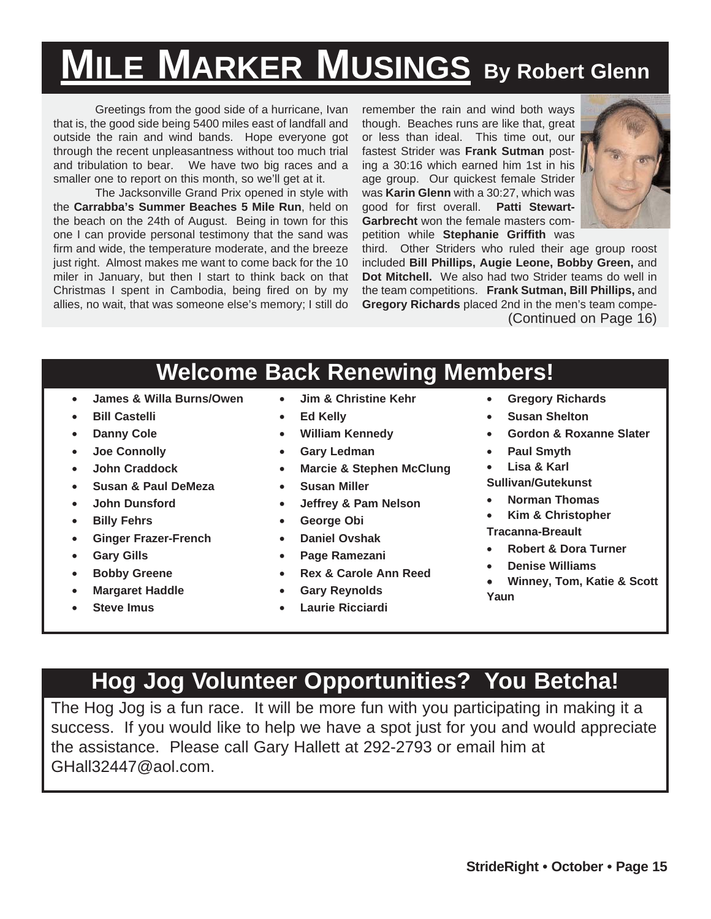# **MILE MARKER MUSINGS By Robert Glenn**

Greetings from the good side of a hurricane, Ivan that is, the good side being 5400 miles east of landfall and outside the rain and wind bands. Hope everyone got through the recent unpleasantness without too much trial and tribulation to bear. We have two big races and a smaller one to report on this month, so we'll get at it.

The Jacksonville Grand Prix opened in style with the **Carrabba's Summer Beaches 5 Mile Run**, held on the beach on the 24th of August. Being in town for this one I can provide personal testimony that the sand was firm and wide, the temperature moderate, and the breeze just right. Almost makes me want to come back for the 10 miler in January, but then I start to think back on that Christmas I spent in Cambodia, being fired on by my allies, no wait, that was someone else's memory; I still do remember the rain and wind both ways though. Beaches runs are like that, great or less than ideal. This time out, our fastest Strider was **Frank Sutman** posting a 30:16 which earned him 1st in his age group. Our quickest female Strider was **Karin Glenn** with a 30:27, which was good for first overall. **Patti Stewart-Garbrecht** won the female masters competition while **Stephanie Griffith** was



third. Other Striders who ruled their age group roost included **Bill Phillips, Augie Leone, Bobby Green,** and **Dot Mitchell.** We also had two Strider teams do well in the team competitions. **Frank Sutman, Bill Phillips,** and **Gregory Richards** placed 2nd in the men's team compe-(Continued on Page 16)

#### **Welcome Back Renewing Members!**

- **James & Willa Burns/Owen**
- **Bill Castelli**
- **Danny Cole**
- **Joe Connolly**
- **John Craddock**
- **Susan & Paul DeMeza**
- **John Dunsford**
- **Billy Fehrs**
- **Ginger Frazer-French**
- **Gary Gills**
- **Bobby Greene**
- **Margaret Haddle**
- **Steve Imus**
- **Jim & Christine Kehr**
- **Ed Kelly**
- **William Kennedy**
- **Gary Ledman**
- **Marcie & Stephen McClung**
- **Susan Miller**
- **Jeffrey & Pam Nelson**
- **George Obi**
- **Daniel Ovshak**
- **Page Ramezani**
- **Rex & Carole Ann Reed**
- **Gary Reynolds**
- **Laurie Ricciardi**
- **Gregory Richards**
- **Susan Shelton**
- **Gordon & Roxanne Slater**
- **Paul Smyth**
- **Lisa & Karl**

**Sullivan/Gutekunst**

- **Norman Thomas**
- **Kim & Christopher**
- **Tracanna-Breault**
- **Robert & Dora Turner**
- **Denise Williams**
- **Winney, Tom, Katie & Scott Yaun**

## **Hog Jog Volunteer Opportunities? You Betcha!**

The Hog Jog is a fun race. It will be more fun with you participating in making it a success. If you would like to help we have a spot just for you and would appreciate the assistance. Please call Gary Hallett at 292-2793 or email him at GHall32447@aol.com.